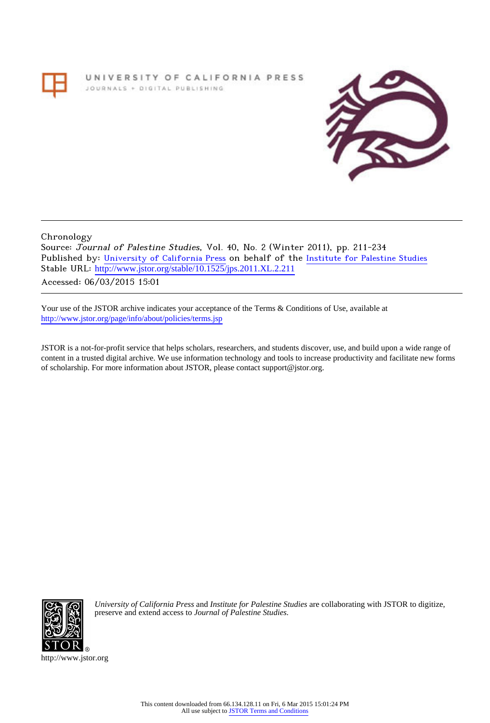UNIVERSITY OF CALIFORNIA PRESS JOURNALS + DIGITAL PUBLISHING



Chronology

Source: Journal of Palestine Studies, Vol. 40, No. 2 (Winter 2011), pp. 211-234 Published by: [University of California Press](http://www.jstor.org/action/showPublisher?publisherCode=ucal) on behalf of the [Institute for Palestine Studies](http://www.jstor.org/action/showPublisher?publisherCode=palstud) Stable URL: [http://www.jstor.org/stable/10.1525/jps.2011.XL.2.211](http://www.jstor.org/stable/10.1525/jps.2011.XL.2.211?origin=JSTOR-pdf) . Accessed: 06/03/2015 15:01

Your use of the JSTOR archive indicates your acceptance of the Terms & Conditions of Use, available at <http://www.jstor.org/page/info/about/policies/terms.jsp>

JSTOR is a not-for-profit service that helps scholars, researchers, and students discover, use, and build upon a wide range of content in a trusted digital archive. We use information technology and tools to increase productivity and facilitate new forms of scholarship. For more information about JSTOR, please contact support@jstor.org.



*University of California Press* and *Institute for Palestine Studies* are collaborating with JSTOR to digitize, preserve and extend access to *Journal of Palestine Studies.*

http://www.jstor.org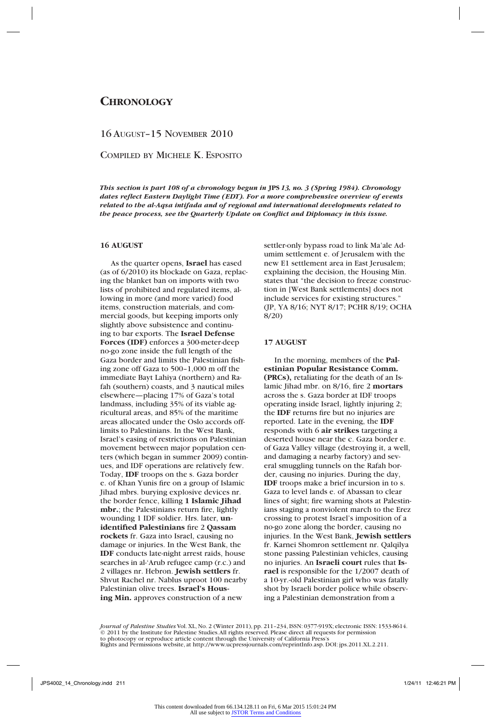# **Chronology**

# 16 August–15 November 2010

Compiled by Michele K. Esposito

*This section is part 108 of a chronology begun in* **JPS** *13, no. 3 (Spring 1984). Chronology dates reflect Eastern Daylight Time (EDT). For a more comprehensive overview of events related to the al-Aqsa intifada and of regional and international developments related to the peace process, see the Quarterly Update on Conflict and Diplomacy in this issue.*

# **16 AUGUST**

As the quarter opens, **Israel** has eased (as of 6/2010) its blockade on Gaza, replacing the blanket ban on imports with two lists of prohibited and regulated items, allowing in more (and more varied) food items, construction materials, and commercial goods, but keeping imports only slightly above subsistence and continuing to bar exports. The **Israel Defense Forces (IDF)** enforces a 300-meter-deep no-go zone inside the full length of the Gaza border and limits the Palestinian fishing zone off Gaza to 500–1,000 m off the immediate Bayt Lahiya (northern) and Rafah (southern) coasts, and 3 nautical miles elsewhere—placing 17% of Gaza's total landmass, including 35% of its viable agricultural areas, and 85% of the maritime areas allocated under the Oslo accords offlimits to Palestinians. In the West Bank, Israel's easing of restrictions on Palestinian movement between major population centers (which began in summer 2009) continues, and IDF operations are relatively few. Today, **IDF** troops on the s. Gaza border e. of Khan Yunis fire on a group of Islamic Jihad mbrs. burying explosive devices nr. the border fence, killing **1 Islamic Jihad mbr.**; the Palestinians return fire, lightly wounding 1 IDF soldier. Hrs. later, **unidentified Palestinians** fire 2 **Qassam rockets** fr. Gaza into Israel, causing no damage or injuries. In the West Bank, the **IDF** conducts late-night arrest raids, house searches in al-'Arub refugee camp (r.c.) and 2 villages nr. Hebron. **Jewish settlers** fr. Shvut Rachel nr. Nablus uproot 100 nearby Palestinian olive trees. **Israel's Housing Min.** approves construction of a new

settler-only bypass road to link Ma'ale Adumim settlement e. of Jerusalem with the new E1 settlement area in East Jerusalem; explaining the decision, the Housing Min. states that "the decision to freeze construction in [West Bank settlements] does not include services for existing structures." (JP, YA 8/16; NYT 8/17; PCHR 8/19; OCHA 8/20)

#### **17 AUGUST**

In the morning, members of the **Palestinian Popular Resistance Comm. (PRCs),** retaliating for the death of an Islamic Jihad mbr. on 8/16, fire 2 **mortars**  across the s. Gaza border at IDF troops operating inside Israel, lightly injuring 2; the **IDF** returns fire but no injuries are reported. Late in the evening, the **IDF** responds with 6 **air strikes** targeting a deserted house near the c. Gaza border e. of Gaza Valley village (destroying it, a well, and damaging a nearby factory) and several smuggling tunnels on the Rafah border, causing no injuries. During the day, **IDF** troops make a brief incursion in to s. Gaza to level lands e. of Abassan to clear lines of sight; fire warning shots at Palestinians staging a nonviolent march to the Erez crossing to protest Israel's imposition of a no-go zone along the border, causing no injuries. In the West Bank, **Jewish settlers** fr. Karnei Shomron settlement nr. Qalqilya stone passing Palestinian vehicles, causing no injuries. An **Israeli court** rules that **Israel** is responsible for the 1/2007 death of a 10-yr.-old Palestinian girl who was fatally shot by Israeli border police while observing a Palestinian demonstration from a

*Journal of Palestine Studies* Vol. XL, No. 2 (Winter 2011), pp. 211–234, ISSN: 0377-919X; electronic ISSN: 1533-8614. © 2011 by the Institute for Palestine Studies.All rights reserved. Please direct all requests for permission<br>to photocopy or reproduce article content through the University of California Press's<br>Rights and Permissions web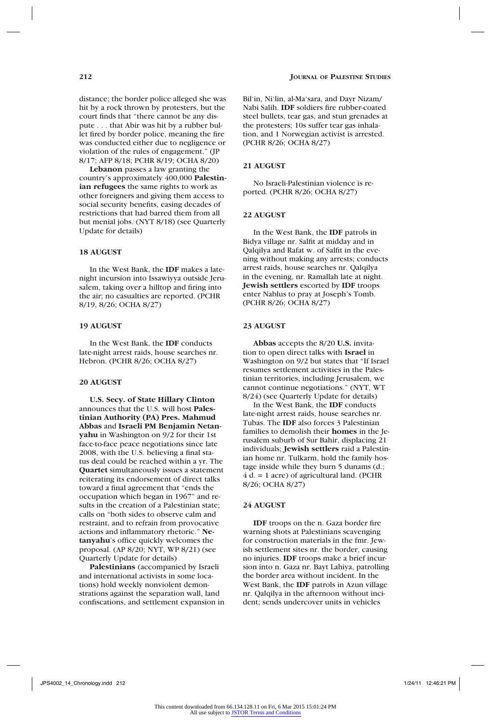distance; the border police alleged she was hit by a rock thrown by protesters, but the court finds that "there cannot be any dispute . . . that Abir was hit by a rubber bullet fired by border police, meaning the fire was conducted either due to negligence or violation of the rules of engagement." (JP 8/17; AFP 8/18; PCHR 8/19; OCHA 8/20)

**Lebanon** passes a law granting the country's approximately 400,000 **Palestinian refugees** the same rights to work as other foreigners and giving them access to social security benefits, easing decades of restrictions that had barred them from all but menial jobs. (NYT 8/18) (see Quarterly Update for details)

### **18 AUGUST**

In the West Bank, the **IDF** makes a latenight incursion into Issawiyya outside Jerusalem, taking over a hilltop and firing into the air; no casualties are reported. (PCHR 8/19, 8/26; OCHA 8/27)

#### **19 AUGUST**

In the West Bank, the **IDF** conducts late-night arrest raids, house searches nr. Hebron. (PCHR 8/26; OCHA 8/27)

#### **20 AUGUST**

**U.S. Secy. of State Hillary Clinton** announces that the U.S. will host **Palestinian Authority (PA) Pres. Mahmud Abbas** and **Israeli PM Benjamin Netanyahu** in Washington on 9/2 for their 1st face-to-face peace negotiations since late 2008, with the U.S. believing a final status deal could be reached within a yr. The **Quartet** simultaneously issues a statement reiterating its endorsement of direct talks toward a final agreement that "ends the occupation which began in 1967" and results in the creation of a Palestinian state; calls on "both sides to observe calm and restraint, and to refrain from provocative actions and inflammatory rhetoric." **Netanyahu**'s office quickly welcomes the proposal. (AP 8/20; NYT, WP 8/21) (see Quarterly Update for details)

**Palestinians** (accompanied by Israeli and international activists in some locations) hold weekly nonviolent demonstrations against the separation wall, land confiscations, and settlement expansion in Bil'in, Ni'lin, al-Ma'sara, and Dayr Nizam/ Nabi Salih. **IDF** soldiers fire rubber-coated steel bullets, tear gas, and stun grenades at the protesters; 10s suffer tear gas inhalation, and 1 Norwegian activist is arrested. (PCHR 8/26; OCHA 8/27)

#### **21 AUGUST**

No Israeli-Palestinian violence is reported. (PCHR 8/26; OCHA 8/27)

#### **22 AUGUST**

In the West Bank, the **IDF** patrols in Bidya village nr. Salfit at midday and in Qalqilya and Rafat w. of Salfit in the evening without making any arrests; conducts arrest raids, house searches nr. Qalqilya in the evening, nr. Ramallah late at night. **Jewish settlers** escorted by **IDF** troops enter Nablus to pray at Joseph's Tomb. (PCHR 8/26; OCHA 8/27)

#### **23 AUGUST**

**Abbas** accepts the 8/20 **U.S.** invitation to open direct talks with **Israel** in Washington on 9/2 but states that "If Israel resumes settlement activities in the Palestinian territories, including Jerusalem, we cannot continue negotiations." (NYT, WT 8/24) (see Quarterly Update for details)

In the West Bank, the **IDF** conducts late-night arrest raids, house searches nr. Tubas. The **IDF** also forces 3 Palestinian families to demolish their **homes** in the Jerusalem suburb of Sur Bahir, displacing 21 individuals; **Jewish settlers** raid a Palestinian home nr. Tulkarm, hold the family hostage inside while they burn 5 dunams (d.;  $4 d. = 1$  acre) of agricultural land. (PCHR 8/26; OCHA 8/27)

#### **24 AUGUST**

**IDF** troops on the n. Gaza border fire warning shots at Palestinians scavenging for construction materials in the fmr. Jewish settlement sites nr. the border, causing no injuries. **IDF** troops make a brief incursion into n. Gaza nr. Bayt Lahiya, patrolling the border area without incident. In the West Bank, the **IDF** patrols in Azun village nr. Qalqilya in the afternoon without incident; sends undercover units in vehicles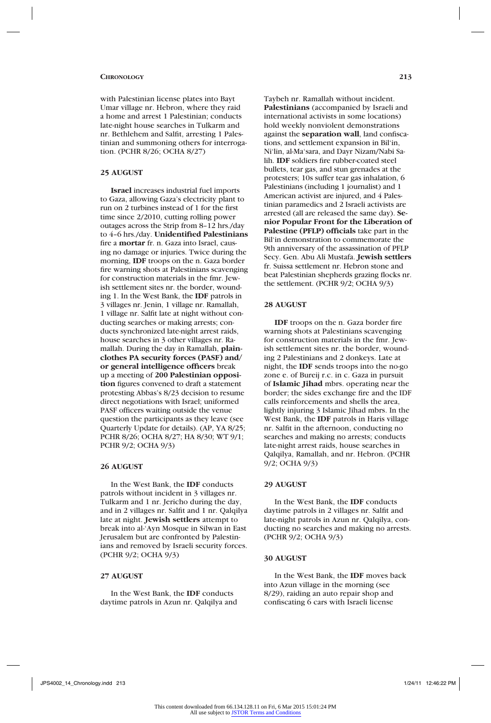with Palestinian license plates into Bayt Umar village nr. Hebron, where they raid a home and arrest 1 Palestinian; conducts late-night house searches in Tulkarm and nr. Bethlehem and Salfit, arresting 1 Palestinian and summoning others for interrogation. (PCHR 8/26; OCHA 8/27)

# **25 AUGUST**

**Israel** increases industrial fuel imports to Gaza, allowing Gaza's electricity plant to run on 2 turbines instead of 1 for the first time since 2/2010, cutting rolling power outages across the Strip from 8–12 hrs./day to 4–6 hrs./day. **Unidentified Palestinians**  fire a **mortar** fr. n. Gaza into Israel, causing no damage or injuries. Twice during the morning, **IDF** troops on the n. Gaza border fire warning shots at Palestinians scavenging for construction materials in the fmr. Jewish settlement sites nr. the border, wounding 1. In the West Bank, the **IDF** patrols in 3 villages nr. Jenin, 1 village nr. Ramallah, 1 village nr. Salfit late at night without conducting searches or making arrests; conducts synchronized late-night arrest raids, house searches in 3 other villages nr. Ramallah. During the day in Ramallah, **plainclothes PA security forces (PASF) and/ or general intelligence officers** break up a meeting of **200 Palestinian opposition** figures convened to draft a statement protesting Abbas's 8/23 decision to resume direct negotiations with Israel; uniformed PASF officers waiting outside the venue question the participants as they leave (see Quarterly Update for details). (AP, YA 8/25; PCHR 8/26; OCHA 8/27; HA 8/30; WT 9/1; PCHR 9/2; OCHA 9/3)

#### **26 AUGUST**

In the West Bank, the **IDF** conducts patrols without incident in 3 villages nr. Tulkarm and 1 nr. Jericho during the day, and in 2 villages nr. Salfit and 1 nr. Qalqilya late at night. **Jewish settlers** attempt to break into al-'Ayn Mosque in Silwan in East Jerusalem but are confronted by Palestinians and removed by Israeli security forces. (PCHR 9/2; OCHA 9/3)

# **27 AUGUST**

In the West Bank, the **IDF** conducts daytime patrols in Azun nr. Qalqilya and Taybeh nr. Ramallah without incident. **Palestinians** (accompanied by Israeli and international activists in some locations) hold weekly nonviolent demonstrations against the **separation wall**, land confiscations, and settlement expansion in Bil'in, Ni'lin, al-Ma'sara, and Dayr Nizam/Nabi Salih. **IDF** soldiers fire rubber-coated steel bullets, tear gas, and stun grenades at the protesters; 10s suffer tear gas inhalation, 6 Palestinians (including 1 journalist) and 1 American activist are injured, and 4 Palestinian paramedics and 2 Israeli activists are arrested (all are released the same day). **Senior Popular Front for the Liberation of Palestine (PFLP) officials** take part in the Bil'in demonstration to commemorate the 9th anniversary of the assassination of PFLP Secy. Gen. Abu Ali Mustafa. **Jewish settlers** fr. Suissa settlement nr. Hebron stone and beat Palestinian shepherds grazing flocks nr.

### **28 AUGUST**

**IDF** troops on the n. Gaza border fire warning shots at Palestinians scavenging for construction materials in the fmr. Jewish settlement sites nr. the border, wounding 2 Palestinians and 2 donkeys. Late at night, the **IDF** sends troops into the no-go zone e. of Bureij r.c. in c. Gaza in pursuit of **Islamic Jihad** mbrs. operating near the border; the sides exchange fire and the IDF calls reinforcements and shells the area, lightly injuring 3 Islamic Jihad mbrs. In the West Bank, the **IDF** patrols in Haris village nr. Salfit in the afternoon, conducting no searches and making no arrests; conducts late-night arrest raids, house searches in Qalqilya, Ramallah, and nr. Hebron. (PCHR 9/2; OCHA 9/3)

the settlement. (PCHR 9/2; OCHA 9/3)

# **29 AUGUST**

In the West Bank, the **IDF** conducts daytime patrols in 2 villages nr. Salfit and late-night patrols in Azun nr. Qalqilya, conducting no searches and making no arrests. (PCHR 9/2; OCHA 9/3)

### **30 AUGUST**

In the West Bank, the **IDF** moves back into Azun village in the morning (see 8/29), raiding an auto repair shop and confiscating 6 cars with Israeli license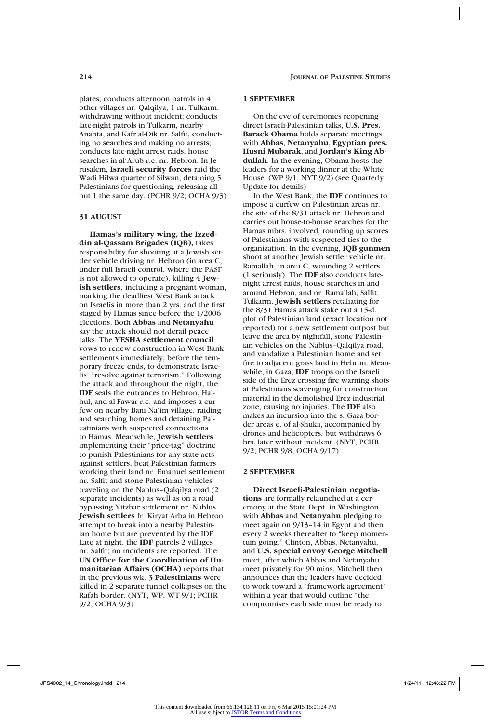plates; conducts afternoon patrols in 4 other villages nr. Qalqilya, 1 nr. Tulkarm, withdrawing without incident; conducts late-night patrols in Tulkarm, nearby Anabta, and Kafr al-Dik nr. Salfit, conducting no searches and making no arrests; conducts late-night arrest raids, house searches in al'Arub r.c. nr. Hebron. In Jerusalem, **Israeli security forces** raid the Wadi Hilwa quarter of Silwan, detaining 5 Palestinians for questioning, releasing all but 1 the same day. (PCHR 9/2; OCHA 9/3)

#### **31 AUGUST**

**Hamas's military wing, the Izzeddin al-Qassam Brigades (IQB),** takes responsibility for shooting at a Jewish settler vehicle driving nr. Hebron (in area C, under full Israeli control, where the PASF is not allowed to operate), killing **4 Jewish settlers**, including a pregnant woman, marking the deadliest West Bank attack on Israelis in more than 2 yrs. and the first staged by Hamas since before the 1/2006 elections. Both **Abbas** and **Netanyahu** say the attack should not derail peace talks. The **YESHA settlement council**  vows to renew construction in West Bank settlements immediately, before the temporary freeze ends, to demonstrate Israelis' "resolve against terrorism." Following the attack and throughout the night, the **IDF** seals the entrances to Hebron, Halhul, and al-Fawar r.c. and imposes a curfew on nearby Bani Na'im village, raiding and searching homes and detaining Palestinians with suspected connections to Hamas. Meanwhile, **Jewish settlers** implementing their "price-tag" doctrine to punish Palestinians for any state acts against settlers, beat Palestinian farmers working their land nr. Emanuel settlement nr. Salfit and stone Palestinian vehicles traveling on the Nablus–Qalqilya road (2 separate incidents) as well as on a road bypassing Yitzhar settlement nr. Nablus. **Jewish settlers** fr. Kiryat Arba in Hebron attempt to break into a nearby Palestinian home but are prevented by the IDF. Late at night, the **IDF** patrols 2 villages nr. Salfit; no incidents are reported. The **UN Office for the Coordination of Humanitarian Affairs (OCHA)** reports that in the previous wk. **3 Palestinians** were killed in 2 separate tunnel collapses on the Rafah border. (NYT, WP, WT 9/1; PCHR 9/2; OCHA 9/3)

#### **1 SEPTEMBER**

On the eve of ceremonies reopening direct Israeli-Palestinian talks, **U.S. Pres. Barack Obama** holds separate meetings with **Abbas**, **Netanyahu**, **Egyptian pres. Husni Mubarak**, and **Jordan's King Abdullah**. In the evening, Obama hosts the leaders for a working dinner at the White House. (WP 9/1; NYT 9/2) (see Quarterly Update for details)

In the West Bank, the **IDF** continues to impose a curfew on Palestinian areas nr. the site of the 8/31 attack nr. Hebron and carries out house-to-house searches for the Hamas mbrs. involved, rounding up scores of Palestinians with suspected ties to the organization. In the evening, **IQB gunmen** shoot at another Jewish settler vehicle nr. Ramallah, in area C, wounding 2 settlers (1 seriously). The **IDF** also conducts latenight arrest raids, house searches in and around Hebron, and nr. Ramallah, Salfit, Tulkarm. **Jewish settlers** retaliating for the 8/31 Hamas attack stake out a 15-d. plot of Palestinian land (exact location not reported) for a new settlement outpost but leave the area by nightfall, stone Palestinian vehicles on the Nablus–Qalqilya road, and vandalize a Palestinian home and set fire to adjacent grass land in Hebron. Meanwhile, in Gaza, **IDF** troops on the Israeli side of the Erez crossing fire warning shots at Palestinians scavenging for construction material in the demolished Erez industrial zone, causing no injuries. The **IDF** also makes an incursion into the s. Gaza border areas e. of al-Shuka, accompanied by drones and helicopters, but withdraws 6 hrs. later without incident. (NYT, PCHR 9/2; PCHR 9/8; OCHA 9/17)

### **2 SEPTEMBER**

**Direct Israeli-Palestinian negotiations** are formally relaunched at a ceremony at the State Dept. in Washington, with **Abbas** and **Netanyahu** pledging to meet again on 9/13–14 in Egypt and then every 2 weeks thereafter to "keep momentum going." Clinton, Abbas, Netanyahu, and **U.S. special envoy George Mitchell** meet, after which Abbas and Netanyahu meet privately for 90 mins. Mitchell then announces that the leaders have decided to work toward a "framework agreement" within a year that would outline "the compromises each side must be ready to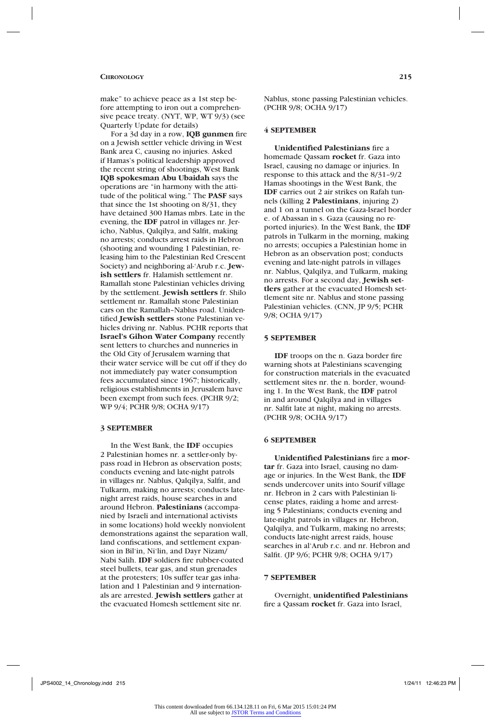make" to achieve peace as a 1st step before attempting to iron out a comprehensive peace treaty. (NYT, WP, WT 9/3) (see Quarterly Update for details)

For a 3d day in a row, **IQB gunmen** fire on a Jewish settler vehicle driving in West Bank area C, causing no injuries. Asked if Hamas's political leadership approved the recent string of shootings, West Bank **IQB spokesman Abu Ubaidah** says the operations are "in harmony with the attitude of the political wing." The **PASF** says that since the 1st shooting on 8/31, they have detained 300 Hamas mbrs. Late in the evening, the **IDF** patrol in villages nr. Jericho, Nablus, Qalqilya, and Salfit, making no arrests; conducts arrest raids in Hebron (shooting and wounding 1 Palestinian, releasing him to the Palestinian Red Crescent Society) and neighboring al-'Arub r.c. **Jewish settlers** fr. Halamish settlement nr. Ramallah stone Palestinian vehicles driving by the settlement. **Jewish settlers** fr. Shilo settlement nr. Ramallah stone Palestinian cars on the Ramallah–Nablus road. Unidentified **Jewish settlers** stone Palestinian vehicles driving nr. Nablus. PCHR reports that **Israel's Gihon Water Company** recently sent letters to churches and nunneries in the Old City of Jerusalem warning that their water service will be cut off if they do not immediately pay water consumption fees accumulated since 1967; historically, religious establishments in Jerusalem have been exempt from such fees. (PCHR 9/2; WP 9/4; PCHR 9/8; OCHA 9/17)

#### **3 SEPTEMBER**

In the West Bank, the **IDF** occupies 2 Palestinian homes nr. a settler-only bypass road in Hebron as observation posts; conducts evening and late-night patrols in villages nr. Nablus, Qalqilya, Salfit, and Tulkarm, making no arrests; conducts latenight arrest raids, house searches in and around Hebron. **Palestinians** (accompanied by Israeli and international activists in some locations) hold weekly nonviolent demonstrations against the separation wall, land confiscations, and settlement expansion in Bil'in, Ni'lin, and Dayr Nizam/ Nabi Salih. **IDF** soldiers fire rubber-coated steel bullets, tear gas, and stun grenades at the protesters; 10s suffer tear gas inhalation and 1 Palestinian and 9 internationals are arrested. **Jewish settlers** gather at the evacuated Homesh settlement site nr.

Nablus, stone passing Palestinian vehicles. (PCHR 9/8; OCHA 9/17)

#### **4 SEPTEMBER**

**Unidentified Palestinians** fire a homemade Qassam **rocket** fr. Gaza into Israel, causing no damage or injuries. In response to this attack and the 8/31–9/2 Hamas shootings in the West Bank, the **IDF** carries out 2 air strikes on Rafah tunnels (killing **2 Palestinians**, injuring 2) and 1 on a tunnel on the Gaza-Israel border e. of Abassan in s. Gaza (causing no reported injuries). In the West Bank, the **IDF**  patrols in Tulkarm in the morning, making no arrests; occupies a Palestinian home in Hebron as an observation post; conducts evening and late-night patrols in villages nr. Nablus, Qalqilya, and Tulkarm, making no arrests. For a second day, **Jewish settlers** gather at the evacuated Homesh settlement site nr. Nablus and stone passing Palestinian vehicles. (CNN, JP 9/5; PCHR 9/8; OCHA 9/17)

#### **5 SEPTEMBER**

**IDF** troops on the n. Gaza border fire warning shots at Palestinians scavenging for construction materials in the evacuated settlement sites nr. the n. border, wounding 1. In the West Bank, the **IDF** patrol in and around Qalqilya and in villages nr. Salfit late at night, making no arrests. (PCHR 9/8; OCHA 9/17)

### **6 SEPTEMBER**

**Unidentified Palestinians** fire a **mortar** fr. Gaza into Israel, causing no damage or injuries. In the West Bank, the **IDF** sends undercover units into Sourif village nr. Hebron in 2 cars with Palestinian license plates, raiding a home and arresting 5 Palestinians; conducts evening and late-night patrols in villages nr. Hebron, Qalqilya, and Tulkarm, making no arrests; conducts late-night arrest raids, house searches in al'Arub r.c. and nr. Hebron and Salfit. (JP 9/6; PCHR 9/8; OCHA 9/17)

# **7 SEPTEMBER**

Overnight, **unidentified Palestinians**  fire a Qassam **rocket** fr. Gaza into Israel,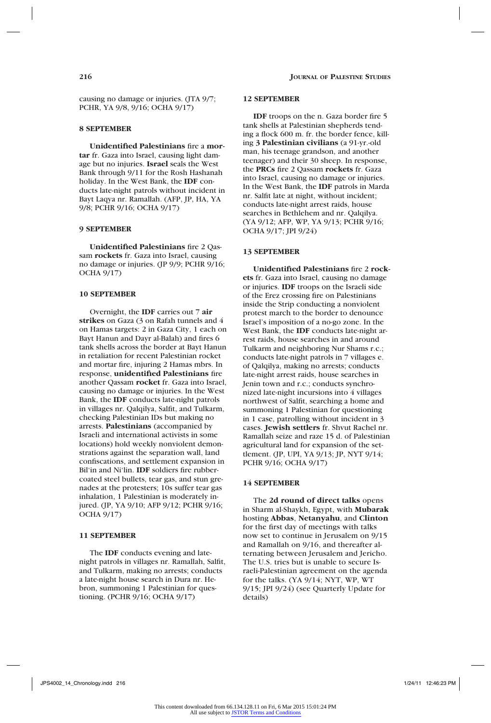causing no damage or injuries. (JTA 9/7; PCHR, YA 9/8, 9/16; OCHA 9/17)

### **8 SEPTEMBER**

**Unidentified Palestinians** fire a **mortar** fr. Gaza into Israel, causing light damage but no injuries. **Israel** seals the West Bank through 9/11 for the Rosh Hashanah holiday. In the West Bank, the **IDF** conducts late-night patrols without incident in Bayt Laqya nr. Ramallah. (AFP, JP, HA, YA 9/8; PCHR 9/16; OCHA 9/17)

# **9 SEPTEMBER**

**Unidentified Palestinians** fire 2 Qassam **rockets** fr. Gaza into Israel, causing no damage or injuries. (JP 9/9; PCHR 9/16; OCHA 9/17)

#### **10 SEPTEMBER**

Overnight, the **IDF** carries out 7 **air strikes** on Gaza (3 on Rafah tunnels and 4 on Hamas targets: 2 in Gaza City, 1 each on Bayt Hanun and Dayr al-Balah) and fires 6 tank shells across the border at Bayt Hanun in retaliation for recent Palestinian rocket and mortar fire, injuring 2 Hamas mbrs. In response, **unidentified Palestinians** fire another Qassam **rocket** fr. Gaza into Israel, causing no damage or injuries. In the West Bank, the **IDF** conducts late-night patrols in villages nr. Qalqilya, Salfit, and Tulkarm, checking Palestinian IDs but making no arrests. **Palestinians** (accompanied by Israeli and international activists in some locations) hold weekly nonviolent demonstrations against the separation wall, land confiscations, and settlement expansion in Bil'in and Ni'lin. **IDF** soldiers fire rubbercoated steel bullets, tear gas, and stun grenades at the protesters; 10s suffer tear gas inhalation, 1 Palestinian is moderately injured. (JP, YA 9/10; AFP 9/12; PCHR 9/16; OCHA 9/17)

#### **11 SEPTEMBER**

The **IDF** conducts evening and latenight patrols in villages nr. Ramallah, Salfit, and Tulkarm, making no arrests; conducts a late-night house search in Dura nr. Hebron, summoning 1 Palestinian for questioning. (PCHR 9/16; OCHA 9/17)

#### **12 SEPTEMBER**

**IDF** troops on the n. Gaza border fire 5 tank shells at Palestinian shepherds tending a flock 600 m. fr. the border fence, killing **3 Palestinian civilians** (a 91-yr.-old man, his teenage grandson, and another teenager) and their 30 sheep. In response, the **PRCs** fire 2 Qassam **rockets** fr. Gaza into Israel, causing no damage or injuries. In the West Bank, the **IDF** patrols in Marda nr. Salfit late at night, without incident; conducts late-night arrest raids, house searches in Bethlehem and nr. Qalqilya. (YA 9/12; AFP, WP, YA 9/13; PCHR 9/16; OCHA 9/17; JPI 9/24)

### **13 SEPTEMBER**

**Unidentified Palestinians** fire 2 **rockets** fr. Gaza into Israel, causing no damage or injuries. **IDF** troops on the Israeli side of the Erez crossing fire on Palestinians inside the Strip conducting a nonviolent protest march to the border to denounce Israel's imposition of a no-go zone. In the West Bank, the **IDF** conducts late-night arrest raids, house searches in and around Tulkarm and neighboring Nur Shams r.c.; conducts late-night patrols in 7 villages e. of Qalqilya, making no arrests; conducts late-night arrest raids, house searches in Jenin town and r.c.; conducts synchronized late-night incursions into 4 villages northwest of Salfit, searching a home and summoning 1 Palestinian for questioning in 1 case, patrolling without incident in 3 cases. **Jewish settlers** fr. Shvut Rachel nr. Ramallah seize and raze 15 d. of Palestinian agricultural land for expansion of the settlement. (JP, UPI, YA 9/13; JP, NYT 9/14; PCHR 9/16; OCHA 9/17)

#### **14 SEPTEMBER**

The **2d round of direct talks** opens in Sharm al-Shaykh, Egypt, with **Mubarak** hosting **Abbas**, **Netanyahu**, and **Clinton** for the first day of meetings with talks now set to continue in Jerusalem on 9/15 and Ramallah on 9/16, and thereafter alternating between Jerusalem and Jericho. The U.S. tries but is unable to secure Israeli-Palestinian agreement on the agenda for the talks. (YA 9/14; NYT, WP, WT 9/15; JPI 9/24) (see Quarterly Update for details)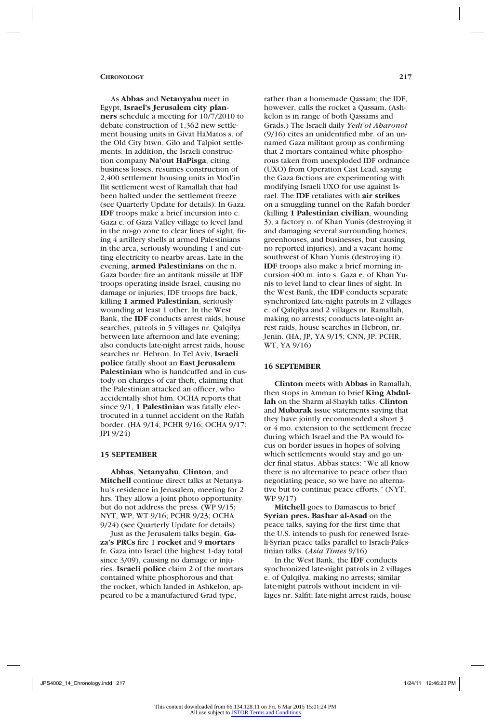As **Abbas** and **Netanyahu** meet in Egypt, **Israel's Jerusalem city planners** schedule a meeting for 10/7/2010 to debate construction of 1,362 new settlement housing units in Givat HaMatos s. of the Old City btwn. Gilo and Talpiot settlements. In addition, the Israeli construction company **Na'out HaPisga**, citing business losses, resumes construction of 2,400 settlement housing units in Mod'in Ilit settlement west of Ramallah that had been halted under the settlement freeze (see Quarterly Update for details). In Gaza, **IDF** troops make a brief incursion into c. Gaza e. of Gaza Valley village to level land in the no-go zone to clear lines of sight, firing 4 artillery shells at armed Palestinians in the area, seriously wounding 1 and cutting electricity to nearby areas. Late in the evening, **armed Palestinians** on the n. Gaza border fire an antitank missile at IDF troops operating inside Israel, causing no damage or injuries; IDF troops fire back, killing **1 armed Palestinian**, seriously wounding at least 1 other. In the West Bank, the **IDF** conducts arrest raids, house searches, patrols in 5 villages nr. Qalqilya between late afternoon and late evening; also conducts late-night arrest raids, house searches nr. Hebron. In Tel Aviv, **Israeli police** fatally shoot an **East Jerusalem Palestinian** who is handcuffed and in custody on charges of car theft, claiming that the Palestinian attacked an officer, who accidentally shot him. OCHA reports that since 9/1, **1 Palestinian** was fatally electrocuted in a tunnel accident on the Rafah border. (HA 9/14; PCHR 9/16; OCHA 9/17; JPI 9/24)

#### **15 SEPTEMBER**

**Abbas**, **Netanyahu**, **Clinton**, and **Mitchell** continue direct talks at Netanyahu's residence in Jerusalem, meeting for 2 hrs. They allow a joint photo opportunity but do not address the press. (WP 9/15; NYT, WP, WT 9/16; PCHR 9/23; OCHA 9/24) (see Quarterly Update for details)

Just as the Jerusalem talks begin, **Gaza's PRCs** fire 1 **rocket** and 9 **mortars** fr. Gaza into Israel (the highest 1-day total since 3/09), causing no damage or injuries. **Israeli police** claim 2 of the mortars contained white phosphorous and that the rocket, which landed in Ashkelon, appeared to be a manufactured Grad type,

rather than a homemade Qassam; the IDF, however, calls the rocket a Qassam. (Ashkelon is in range of both Qassams and Grads.) The Israeli daily *Yedi'ot Aharonot*  (9/16) cites an unidentified mbr. of an unnamed Gaza militant group as confirming that 2 mortars contained white phosphorous taken from unexploded IDF ordnance (UXO) from Operation Cast Lead, saying the Gaza factions are experimenting with modifying Israeli UXO for use against Israel. The **IDF** retaliates with **air strikes** on a smuggling tunnel on the Rafah border (killing **1 Palestinian civilian**, wounding 3), a factory n. of Khan Yunis (destroying it and damaging several surrounding homes, greenhouses, and businesses, but causing no reported injuries), and a vacant home southwest of Khan Yunis (destroying it). **IDF** troops also make a brief morning incursion 400 m. into s. Gaza e. of Khan Yunis to level land to clear lines of sight. In the West Bank, the **IDF** conducts separate synchronized late-night patrols in 2 villages e. of Qalqilya and 2 villages nr. Ramallah, making no arrests; conducts late-night arrest raids, house searches in Hebron, nr. Jenin. (HA, JP, YA 9/15; CNN, JP, PCHR, WT, YA 9/16)

### **16 SEPTEMBER**

**Clinton** meets with **Abbas** in Ramallah, then stops in Amman to brief **King Abdullah** on the Sharm al-Shaykh talks. **Clinton** and **Mubarak** issue statements saying that they have jointly recommended a short 3 or 4 mo. extension to the settlement freeze during which Israel and the PA would focus on border issues in hopes of solving which settlements would stay and go under final status. Abbas states: "We all know there is no alternative to peace other than negotiating peace, so we have no alternative but to continue peace efforts." (NYT, WP 9/17)

**Mitchell** goes to Damascus to brief **Syrian pres. Bashar al-Asad** on the peace talks, saying for the first time that the U.S. intends to push for renewed Israeli-Syrian peace talks parallel to Israeli-Palestinian talks. (*Asia Times* 9/16)

In the West Bank, the **IDF** conducts synchronized late-night patrols in 2 villages e. of Qalqilya, making no arrests; similar late-night patrols without incident in villages nr. Salfit; late-night arrest raids, house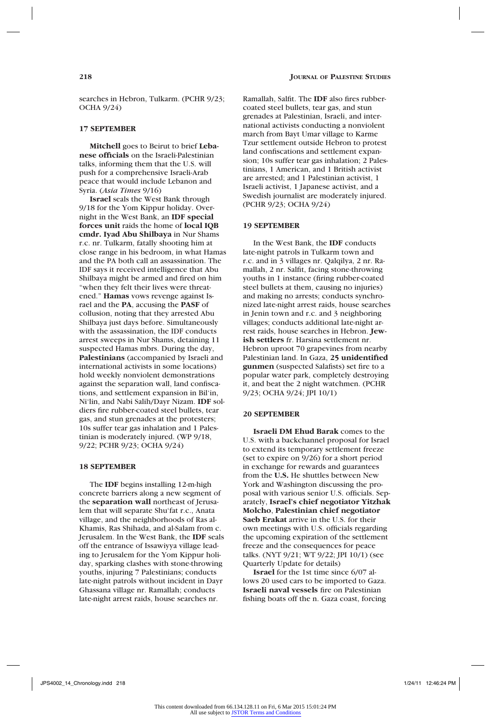searches in Hebron, Tulkarm. (PCHR 9/23; OCHA 9/24)

### **17 SEPTEMBER**

**Mitchell** goes to Beirut to brief **Lebanese officials** on the Israeli-Palestinian talks, informing them that the U.S. will push for a comprehensive Israeli-Arab peace that would include Lebanon and Syria. (*Asia Times* 9/16)

**Israel** seals the West Bank through 9/18 for the Yom Kippur holiday. Overnight in the West Bank, an **IDF special forces unit** raids the home of **local IQB cmdr. Iyad Abu Shilbaya** in Nur Shams r.c. nr. Tulkarm, fatally shooting him at close range in his bedroom, in what Hamas and the PA both call an assassination. The IDF says it received intelligence that Abu Shilbaya might be armed and fired on him "when they felt their lives were threatened." **Hamas** vows revenge against Israel and the **PA**, accusing the **PASF** of collusion, noting that they arrested Abu Shilbaya just days before. Simultaneously with the assassination, the IDF conducts arrest sweeps in Nur Shams, detaining 11 suspected Hamas mbrs. During the day, **Palestinians** (accompanied by Israeli and international activists in some locations) hold weekly nonviolent demonstrations against the separation wall, land confiscations, and settlement expansion in Bil'in, Ni'lin, and Nabi Salih/Dayr Nizam. **IDF** soldiers fire rubber-coated steel bullets, tear gas, and stun grenades at the protesters; 10s suffer tear gas inhalation and 1 Palestinian is moderately injured. (WP 9/18, 9/22; PCHR 9/23; OCHA 9/24)

#### **18 SEPTEMBER**

The **IDF** begins installing 12-m-high concrete barriers along a new segment of the **separation wall** northeast of Jerusalem that will separate Shu'fat r.c., Anata village, and the neighborhoods of Ras al-Khamis, Ras Shihada, and al-Salam from c. Jerusalem. In the West Bank, the **IDF** seals off the entrance of Issawiyya village leading to Jerusalem for the Yom Kippur holiday, sparking clashes with stone-throwing youths, injuring 7 Palestinians; conducts late-night patrols without incident in Dayr Ghassana village nr. Ramallah; conducts late-night arrest raids, house searches nr.

Ramallah, Salfit. The **IDF** also fires rubbercoated steel bullets, tear gas, and stun grenades at Palestinian, Israeli, and international activists conducting a nonviolent march from Bayt Umar village to Karme Tzur settlement outside Hebron to protest land confiscations and settlement expansion; 10s suffer tear gas inhalation; 2 Palestinians, 1 American, and 1 British activist are arrested; and 1 Palestinian activist, 1 Israeli activist, 1 Japanese activist, and a Swedish journalist are moderately injured. (PCHR 9/23; OCHA 9/24)

#### **19 SEPTEMBER**

In the West Bank, the **IDF** conducts late-night patrols in Tulkarm town and r.c. and in 3 villages nr. Qalqilya, 2 nr. Ramallah, 2 nr. Salfit, facing stone-throwing youths in 1 instance (firing rubber-coated steel bullets at them, causing no injuries) and making no arrests; conducts synchronized late-night arrest raids, house searches in Jenin town and r.c. and 3 neighboring villages; conducts additional late-night arrest raids, house searches in Hebron. **Jewish settlers** fr. Harsina settlement nr. Hebron uproot 70 grapevines from nearby Palestinian land. In Gaza, **25 unidentified gunmen** (suspected Salafists) set fire to a popular water park, completely destroying it, and beat the 2 night watchmen. (PCHR 9/23; OCHA 9/24; JPI 10/1)

#### **20 SEPTEMBER**

**Israeli DM Ehud Barak** comes to the U.S. with a backchannel proposal for Israel to extend its temporary settlement freeze (set to expire on 9/26) for a short period in exchange for rewards and guarantees from the **U.S.** He shuttles between New York and Washington discussing the proposal with various senior U.S. officials. Separately, **Israel's chief negotiator Yitzhak Molcho**, **Palestinian chief negotiator Saeb Erakat** arrive in the U.S. for their own meetings with U.S. officials regarding the upcoming expiration of the settlement freeze and the consequences for peace talks. (NYT 9/21; WT 9/22; JPI 10/1) (see Quarterly Update for details)

**Israel** for the 1st time since 6/07 allows 20 used cars to be imported to Gaza. **Israeli naval vessels** fire on Palestinian fishing boats off the n. Gaza coast, forcing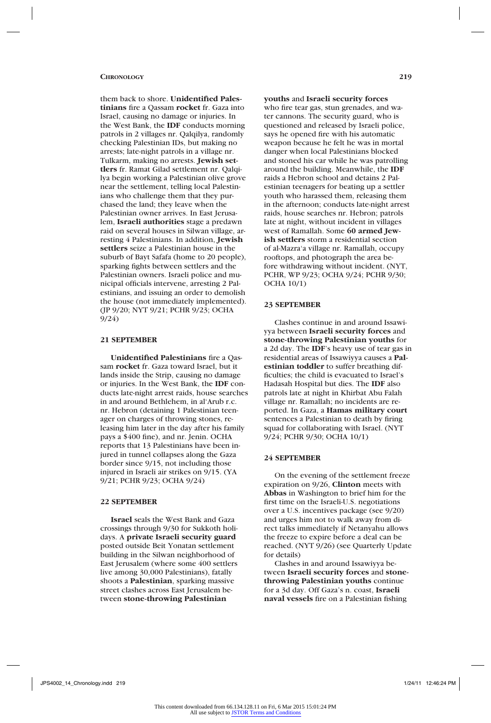them back to shore. **Unidentified Palestinians** fire a Qassam **rocket** fr. Gaza into Israel, causing no damage or injuries. In the West Bank, the **IDF** conducts morning patrols in 2 villages nr. Qalqilya, randomly checking Palestinian IDs, but making no arrests; late-night patrols in a village nr. Tulkarm, making no arrests. **Jewish settlers** fr. Ramat Gilad settlement nr. Qalqilya begin working a Palestinian olive grove near the settlement, telling local Palestinians who challenge them that they purchased the land; they leave when the Palestinian owner arrives. In East Jerusalem, **Israeli authorities** stage a predawn raid on several houses in Silwan village, arresting 4 Palestinians. In addition, **Jewish settlers** seize a Palestinian house in the suburb of Bayt Safafa (home to 20 people), sparking fights between settlers and the Palestinian owners. Israeli police and municipal officials intervene, arresting 2 Palestinians, and issuing an order to demolish the house (not immediately implemented). (JP 9/20; NYT 9/21; PCHR 9/23; OCHA 9/24)

#### **21 SEPTEMBER**

**Unidentified Palestinians** fire a Qassam **rocket** fr. Gaza toward Israel, but it lands inside the Strip, causing no damage or injuries. In the West Bank, the **IDF** conducts late-night arrest raids, house searches in and around Bethlehem, in al'Arub r.c. nr. Hebron (detaining 1 Palestinian teenager on charges of throwing stones, releasing him later in the day after his family pays a \$400 fine), and nr. Jenin. OCHA reports that 13 Palestinians have been injured in tunnel collapses along the Gaza border since 9/15, not including those injured in Israeli air strikes on 9/15. (YA 9/21; PCHR 9/23; OCHA 9/24)

### **22 SEPTEMBER**

**Israel** seals the West Bank and Gaza crossings through 9/30 for Sukkoth holidays. A **private Israeli security guard**  posted outside Beit Yonatan settlement building in the Silwan neighborhood of East Jerusalem (where some 400 settlers live among 30,000 Palestinians), fatally shoots a **Palestinian**, sparking massive street clashes across East Jerusalem between **stone-throwing Palestinian** 

JPS4002\_14\_Chronology.indd 219 1/24/11 12:46:24 PM

who fire tear gas, stun grenades, and water cannons. The security guard, who is questioned and released by Israeli police, says he opened fire with his automatic weapon because he felt he was in mortal danger when local Palestinians blocked and stoned his car while he was patrolling around the building. Meanwhile, the **IDF**  raids a Hebron school and detains 2 Palestinian teenagers for beating up a settler youth who harassed them, releasing them in the afternoon; conducts late-night arrest raids, house searches nr. Hebron; patrols late at night, without incident in villages west of Ramallah. Some **60 armed Jewish settlers** storm a residential section of al-Mazra'a village nr. Ramallah, occupy rooftops, and photograph the area before withdrawing without incident. (NYT, PCHR, WP 9/23; OCHA 9/24; PCHR 9/30; OCHA 10/1)

**youths** and **Israeli security forces**

# **23 SEPTEMBER**

Clashes continue in and around Issawiyya between **Israeli security forces** and **stone-throwing Palestinian youths** for a 2d day. The **IDF**'s heavy use of tear gas in residential areas of Issawiyya causes a **Palestinian toddler** to suffer breathing difficulties; the child is evacuated to Israel's Hadasah Hospital but dies. The **IDF** also patrols late at night in Khirbat Abu Falah village nr. Ramallah; no incidents are reported. In Gaza, a **Hamas military court**  sentences a Palestinian to death by firing squad for collaborating with Israel. (NYT 9/24; PCHR 9/30; OCHA 10/1)

#### **24 SEPTEMBER**

On the evening of the settlement freeze expiration on 9/26, **Clinton** meets with **Abbas** in Washington to brief him for the first time on the Israeli-U.S. negotiations over a U.S. incentives package (see 9/20) and urges him not to walk away from direct talks immediately if Netanyahu allows the freeze to expire before a deal can be reached. (NYT 9/26) (see Quarterly Update for details)

Clashes in and around Issawiyya between **Israeli security forces** and **stonethrowing Palestinian youths** continue for a 3d day. Off Gaza's n. coast, **Israeli naval vessels** fire on a Palestinian fishing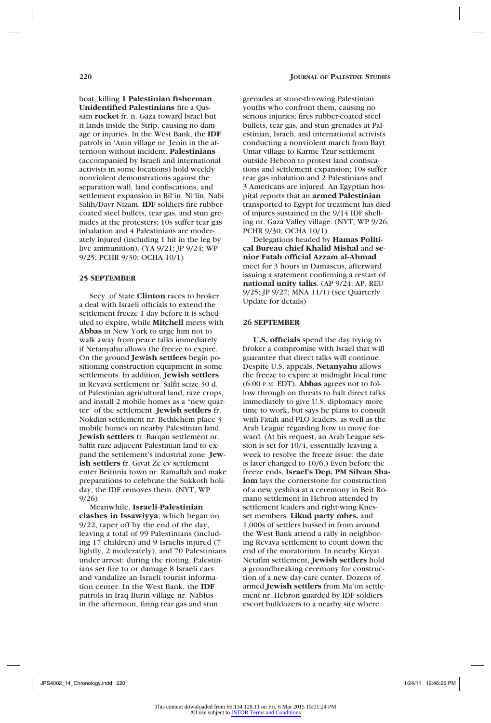boat, killing **1 Palestinian fisherman**. **Unidentified Palestinians** fire a Qassam **rocket** fr. n. Gaza toward Israel but it lands inside the Strip, causing no damage or injuries. In the West Bank, the **IDF**  patrols in 'Anin village nr. Jenin in the afternoon without incident. **Palestinians**  (accompanied by Israeli and international activists in some locations) hold weekly nonviolent demonstrations against the separation wall, land confiscations, and settlement expansion in Bil'in, Ni'lin, Nabi Salih/Dayr Nizam. **IDF** soldiers fire rubbercoated steel bullets, tear gas, and stun grenades at the protesters; 10s suffer tear gas inhalation and 4 Palestinians are moderately injured (including 1 hit in the leg by live ammunition). (YA 9/21; JP 9/24; WP 9/25; PCHR 9/30; OCHA 10/1)

#### **25 SEPTEMBER**

Secy. of State **Clinton** races to broker a deal with Israeli officials to extend the settlement freeze 1 day before it is scheduled to expire, while **Mitchell** meets with **Abbas** in New York to urge him not to walk away from peace talks immediately if Netanyahu allows the freeze to expire. On the ground **Jewish settlers** begin positioning construction equipment in some settlements. In addition, **Jewish settlers** in Revava settlement nr. Salfit seize 30 d. of Palestinian agricultural land, raze crops, and install 2 mobile homes as a "new quarter" of the settlement. **Jewish settlers** fr. Nokdim settlement nr. Bethlehem place 3 mobile homes on nearby Palestinian land. **Jewish settlers** fr. Barqan settlement nr. Salfit raze adjacent Palestinian land to expand the settlement's industrial zone. **Jewish settlers** fr. Givat Ze'ev settlement enter Beitunia town nr. Ramallah and make preparations to celebrate the Sukkoth holiday; the IDF removes them. (NYT, WP 9/26)

Meanwhile, **Israeli-Palestinian clashes in Issawiyya**, which began on 9/22, taper off by the end of the day, leaving a total of 99 Palestinians (including 17 children) and 9 Israelis injured (7 lightly, 2 moderately), and 70 Palestinians under arrest; during the rioting, Palestinians set fire to or damage 8 Israeli cars and vandalize an Israeli tourist information center. In the West Bank, the **IDF**  patrols in Iraq Burin village nr. Nablus in the afternoon, firing tear gas and stun

grenades at stone-throwing Palestinian youths who confront them, causing no serious injuries; fires rubber-coated steel bullets, tear gas, and stun grenades at Palestinian, Israeli, and international activists conducting a nonviolent march from Bayt Umar village to Karme Tzur settlement outside Hebron to protest land confiscations and settlement expansion; 10s suffer tear gas inhalation and 2 Palestinians and 3 Americans are injured. An Egyptian hospital reports that an **armed Palestinian** transported to Egypt for treatment has died of injures sustained in the 9/14 IDF shelling nr. Gaza Valley village. (NYT, WP 9/26; PCHR 9/30; OCHA 10/1)

Delegations headed by **Hamas Political Bureau chief Khalid Mishal** and **senior Fatah official Azzam al-Ahmad** meet for 3 hours in Damascus, afterward issuing a statement confirming a restart of **national unity talks**. (AP 9/24; AP, REU 9/25; JP 9/27; MNA 11/1) (see Quarterly Update for details)

#### **26 SEPTEMBER**

**U.S. officials** spend the day trying to broker a compromise with Israel that will guarantee that direct talks will continue. Despite U.S. appeals, **Netanyahu** allows the freeze to expire at midnight local time (6:00 p.m. EDT). **Abbas** agrees not to follow through on threats to halt direct talks immediately to give U.S. diplomacy more time to work, but says he plans to consult with Fatah and PLO leaders, as well as the Arab League regarding how to move forward. (At his request, an Arab League session is set for 10/4, essentially leaving a week to resolve the freeze issue; the date is later changed to 10/6.) Even before the freeze ends, **Israel's Dep. PM Silvan Shalom** lays the cornerstone for construction of a new yeshiva at a ceremony in Beit Romano settlement in Hebron attended by settlement leaders and right-wing Knesset members. **Likud party mbrs.** and 1,000s of settlers bussed in from around the West Bank attend a rally in neighboring Revava settlement to count down the end of the moratorium. In nearby Kiryat Netafim settlement, **Jewish settlers** hold a groundbreaking ceremony for construction of a new day-care center. Dozens of armed **Jewish settlers** from Ma'on settlement nr. Hebron guarded by IDF soldiers escort bulldozers to a nearby site where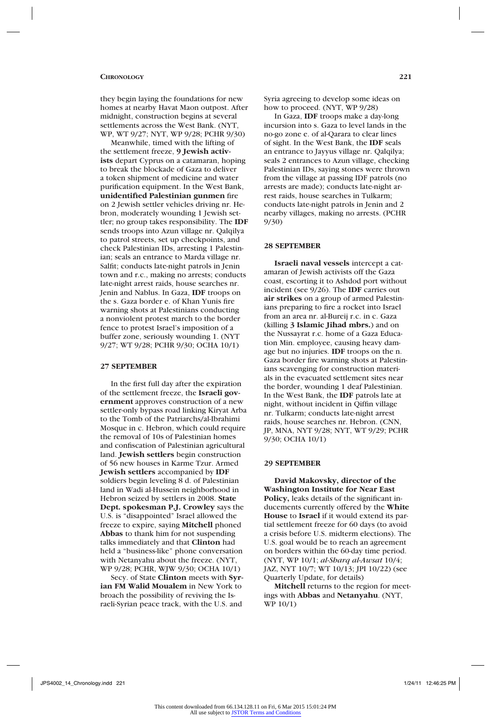they begin laying the foundations for new homes at nearby Havat Maon outpost. After midnight, construction begins at several settlements across the West Bank. (NYT, WP, WT 9/27; NYT, WP 9/28; PCHR 9/30)

Meanwhile, timed with the lifting of the settlement freeze, **9 Jewish activists** depart Cyprus on a catamaran, hoping to break the blockade of Gaza to deliver a token shipment of medicine and water purification equipment. In the West Bank, **unidentified Palestinian gunmen** fire on 2 Jewish settler vehicles driving nr. Hebron, moderately wounding 1 Jewish settler; no group takes responsibility. The **IDF**  sends troops into Azun village nr. Qalqilya to patrol streets, set up checkpoints, and check Palestinian IDs, arresting 1 Palestinian; seals an entrance to Marda village nr. Salfit; conducts late-night patrols in Jenin town and r.c., making no arrests; conducts late-night arrest raids, house searches nr. Jenin and Nablus. In Gaza, **IDF** troops on the s. Gaza border e. of Khan Yunis fire warning shots at Palestinians conducting a nonviolent protest march to the border fence to protest Israel's imposition of a buffer zone, seriously wounding 1. (NYT 9/27; WT 9/28; PCHR 9/30; OCHA 10/1)

#### **27 SEPTEMBER**

In the first full day after the expiration of the settlement freeze, the **Israeli government** approves construction of a new settler-only bypass road linking Kiryat Arba to the Tomb of the Patriarchs/al-Ibrahimi Mosque in c. Hebron, which could require the removal of 10s of Palestinian homes and confiscation of Palestinian agricultural land. **Jewish settlers** begin construction of 56 new houses in Karme Tzur. Armed **Jewish settlers** accompanied by **IDF** soldiers begin leveling 8 d. of Palestinian land in Wadi al-Hussein neighborhood in Hebron seized by settlers in 2008. **State Dept. spokesman P.J. Crowley** says the U.S. is "disappointed" Israel allowed the freeze to expire, saying **Mitchell** phoned **Abbas** to thank him for not suspending talks immediately and that **Clinton** had held a "business-like" phone conversation with Netanyahu about the freeze. (NYT, WP 9/28; PCHR, WJW 9/30; OCHA 10/1)

Secy. of State **Clinton** meets with **Syrian FM Walid Moualem** in New York to broach the possibility of reviving the Israeli-Syrian peace track, with the U.S. and

Syria agreeing to develop some ideas on how to proceed. (NYT, WP 9/28)

In Gaza, **IDF** troops make a day-long incursion into s. Gaza to level lands in the no-go zone e. of al-Qarara to clear lines of sight. In the West Bank, the **IDF** seals an entrance to Jayyus village nr. Qalqilya; seals 2 entrances to Azun village, checking Palestinian IDs, saying stones were thrown from the village at passing IDF patrols (no arrests are made); conducts late-night arrest raids, house searches in Tulkarm; conducts late-night patrols in Jenin and 2 nearby villages, making no arrests. (PCHR 9/30)

#### **28 SEPTEMBER**

**Israeli naval vessels** intercept a catamaran of Jewish activists off the Gaza coast, escorting it to Ashdod port without incident (see 9/26). The **IDF** carries out **air strikes** on a group of armed Palestinians preparing to fire a rocket into Israel from an area nr. al-Bureij r.c. in c. Gaza (killing **3 Islamic Jihad mbrs.**) and on the Nussayrat r.c. home of a Gaza Education Min. employee, causing heavy damage but no injuries. **IDF** troops on the n. Gaza border fire warning shots at Palestinians scavenging for construction materials in the evacuated settlement sites near the border, wounding 1 deaf Palestinian. In the West Bank, the **IDF** patrols late at night, without incident in Qiffin village nr. Tulkarm; conducts late-night arrest raids, house searches nr. Hebron. (CNN, JP, MNA, NYT 9/28; NYT, WT 9/29; PCHR 9/30; OCHA 10/1)

## **29 SEPTEMBER**

**David Makovsky, director of the Washington Institute for Near East Policy,** leaks details of the significant inducements currently offered by the **White House** to **Israel** if it would extend its partial settlement freeze for 60 days (to avoid a crisis before U.S. midterm elections). The U.S. goal would be to reach an agreement on borders within the 60-day time period. (NYT, WP 10/1; *al-Sharq al-Awsat* 10/4; JAZ, NYT 10/7; WT 10/13; JPI 10/22) (see Quarterly Update, for details)

**Mitchell** returns to the region for meetings with **Abbas** and **Netanyahu**. (NYT, WP 10/1)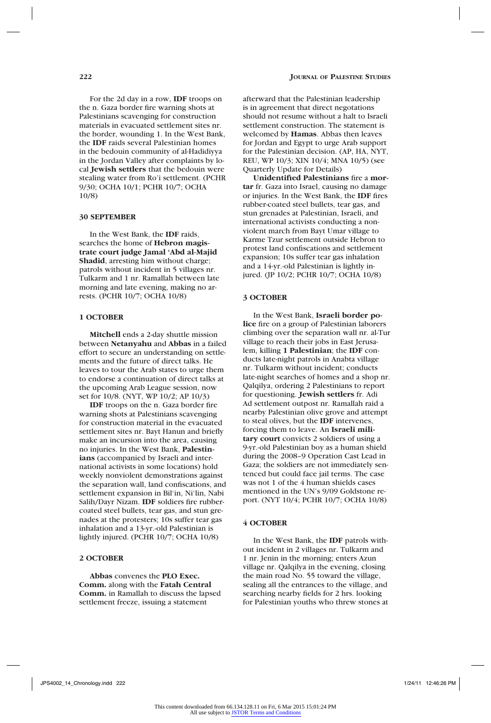For the 2d day in a row, **IDF** troops on the n. Gaza border fire warning shots at Palestinians scavenging for construction materials in evacuated settlement sites nr. the border, wounding 1. In the West Bank, the **IDF** raids several Palestinian homes in the bedouin community of al-Hadidiyya in the Jordan Valley after complaints by local **Jewish settlers** that the bedouin were stealing water from Ro'i settlement. (PCHR 9/30; OCHA 10/1; PCHR 10/7; OCHA 10/8)

#### **30 SEPTEMBER**

In the West Bank, the **IDF** raids, searches the home of **Hebron magistrate court judge Jamal 'Abd al-Majid Shadid**, arresting him without charge; patrols without incident in 5 villages nr. Tulkarm and 1 nr. Ramallah between late morning and late evening, making no arrests. (PCHR 10/7; OCHA 10/8)

#### **1 OCTOBER**

**Mitchell** ends a 2-day shuttle mission between **Netanyahu** and **Abbas** in a failed effort to secure an understanding on settlements and the future of direct talks. He leaves to tour the Arab states to urge them to endorse a continuation of direct talks at the upcoming Arab League session, now set for 10/8. (NYT, WP 10/2; AP 10/3)

**IDF** troops on the n. Gaza border fire warning shots at Palestinians scavenging for construction material in the evacuated settlement sites nr. Bayt Hanun and briefly make an incursion into the area, causing no injuries. In the West Bank, **Palestinians** (accompanied by Israeli and international activists in some locations) hold weekly nonviolent demonstrations against the separation wall, land confiscations, and settlement expansion in Bil'in, Ni'lin, Nabi Salih/Dayr Nizam. **IDF** soldiers fire rubbercoated steel bullets, tear gas, and stun grenades at the protesters; 10s suffer tear gas inhalation and a 13-yr.-old Palestinian is lightly injured. (PCHR 10/7; OCHA 10/8)

### **2 OCTOBER**

**Abbas** convenes the **PLO Exec. Comm.** along with the **Fatah Central Comm.** in Ramallah to discuss the lapsed settlement freeze, issuing a statement

afterward that the Palestinian leadership is in agreement that direct negotations should not resume without a halt to Israeli settlement construction. The statement is welcomed by **Hamas**. Abbas then leaves for Jordan and Egypt to urge Arab support for the Palestinian decision. (AP, HA, NYT, REU, WP 10/3; XIN 10/4; MNA 10/5) (see Quarterly Update for Details)

**Unidentified Palestinians** fire a **mortar** fr. Gaza into Israel, causing no damage or injuries. In the West Bank, the **IDF** fires rubber-coated steel bullets, tear gas, and stun grenades at Palestinian, Israeli, and international activists conducting a nonviolent march from Bayt Umar village to Karme Tzur settlement outside Hebron to protest land confiscations and settlement expansion; 10s suffer tear gas inhalation and a 14-yr.-old Palestinian is lightly injured. (JP 10/2; PCHR 10/7; OCHA 10/8)

#### **3 OCTOBER**

In the West Bank, **Israeli border police** fire on a group of Palestinian laborers climbing over the separation wall nr. al-Tur village to reach their jobs in East Jerusalem, killing **1 Palestinian**; the **IDF** conducts late-night patrols in Anabta village nr. Tulkarm without incident; conducts late-night searches of homes and a shop nr. Qalqilya, ordering 2 Palestinians to report for questioning. **Jewish settlers** fr. Adi Ad settlement outpost nr. Ramallah raid a nearby Palestinian olive grove and attempt to steal olives, but the **IDF** intervenes, forcing them to leave. An **Israeli military court** convicts 2 soldiers of using a 9-yr.-old Palestinian boy as a human shield during the 2008–9 Operation Cast Lead in Gaza; the soldiers are not immediately sentenced but could face jail terms. The case was not 1 of the 4 human shields cases mentioned in the UN's 9/09 Goldstone report. (NYT 10/4; PCHR 10/7; OCHA 10/8)

#### **4 OCTOBER**

In the West Bank, the **IDF** patrols without incident in 2 villages nr. Tulkarm and 1 nr. Jenin in the morning; enters Azun village nr. Qalqilya in the evening, closing the main road No. 55 toward the village, sealing all the entrances to the village, and searching nearby fields for 2 hrs. looking for Palestinian youths who threw stones at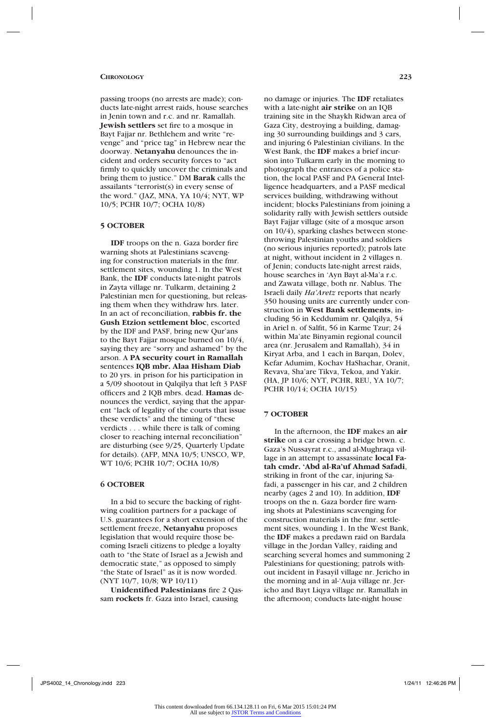passing troops (no arrests are made); conducts late-night arrest raids, house searches in Jenin town and r.c. and nr. Ramallah. **Jewish settlers** set fire to a mosque in Bayt Fajjar nr. Bethlehem and write "revenge" and "price tag" in Hebrew near the doorway. **Netanyahu** denounces the incident and orders security forces to "act firmly to quickly uncover the criminals and bring them to justice." DM **Barak** calls the assailants "terrorist(s) in every sense of the word." (JAZ, MNA, YA 10/4; NYT, WP 10/5; PCHR 10/7; OCHA 10/8)

# **5 OCTOBER**

**IDF** troops on the n. Gaza border fire warning shots at Palestinians scavenging for construction materials in the fmr. settlement sites, wounding 1. In the West Bank, the **IDF** conducts late-night patrols in Zayta village nr. Tulkarm, detaining 2 Palestinian men for questioning, but releasing them when they withdraw hrs. later. In an act of reconciliation, **rabbis fr. the Gush Etzion settlement bloc**, escorted by the IDF and PASF, bring new Qur'ans to the Bayt Fajjar mosque burned on 10/4, saying they are "sorry and ashamed" by the arson. A **PA security court in Ramallah** sentences **IQB mbr. Alaa Hisham Diab** to 20 yrs. in prison for his participation in a 5/09 shootout in Qalqilya that left 3 PASF officers and 2 IQB mbrs. dead. **Hamas** denounces the verdict, saying that the apparent "lack of legality of the courts that issue these verdicts" and the timing of "these verdicts . . . while there is talk of coming closer to reaching internal reconciliation" are disturbing (see 9/25, Quarterly Update for details). (AFP, MNA 10/5; UNSCO, WP, WT 10/6; PCHR 10/7; OCHA 10/8)

### **6 OCTOBER**

In a bid to secure the backing of rightwing coalition partners for a package of U.S. guarantees for a short extension of the settlement freeze, **Netanyahu** proposes legislation that would require those becoming Israeli citizens to pledge a loyalty oath to "the State of Israel as a Jewish and democratic state," as opposed to simply "the State of Israel" as it is now worded. (NYT 10/7, 10/8; WP 10/11)

**Unidentified Palestinians** fire 2 Qassam **rockets** fr. Gaza into Israel, causing

no damage or injuries. The **IDF** retaliates with a late-night **air strike** on an IQB training site in the Shaykh Ridwan area of Gaza City, destroying a building, damaging 30 surrounding buildings and 3 cars, and injuring 6 Palestinian civilians. In the West Bank, the **IDF** makes a brief incursion into Tulkarm early in the morning to photograph the entrances of a police station, the local PASF and PA General Intelligence headquarters, and a PASF medical services building, withdrawing without incident; blocks Palestinians from joining a solidarity rally with Jewish settlers outside Bayt Fajjar village (site of a mosque arson on 10/4), sparking clashes between stonethrowing Palestinian youths and soldiers (no serious injuries reported); patrols late at night, without incident in 2 villages n. of Jenin; conducts late-night arrest raids, house searches in 'Ayn Bayt al-Ma'a r.c. and Zawata village, both nr. Nablus. The Israeli daily *Ha'Aretz* reports that nearly 350 housing units are currently under construction in **West Bank settlements**, including 56 in Keddumim nr. Qalqilya, 54 in Ariel n. of Salfit, 56 in Karme Tzur; 24 within Ma'ate Binyamin regional council area (nr. Jerusalem and Ramallah), 34 in Kiryat Arba, and 1 each in Barqan, Dolev, Kefar Adumim, Kochav HaShachar, Oranit, Revava, Sha'are Tikva, Tekoa, and Yakir. (HA, JP 10/6; NYT, PCHR, REU, YA 10/7; PCHR 10/14; OCHA 10/15)

### **7 OCTOBER**

In the afternoon, the **IDF** makes an **air strike** on a car crossing a bridge btwn. c. Gaza's Nussayrat r.c., and al-Mughraqa village in an attempt to assassinate **local Fatah cmdr. 'Abd al-Ra'uf Ahmad Safadi**, striking in front of the car, injuring Safadi, a passenger in his car, and 2 children nearby (ages 2 and 10). In addition, **IDF**  troops on the n. Gaza border fire warning shots at Palestinians scavenging for construction materials in the fmr. settlement sites, wounding 1. In the West Bank, the **IDF** makes a predawn raid on Bardala village in the Jordan Valley, raiding and searching several homes and summoning 2 Palestinians for questioning; patrols without incident in Fasayil village nr. Jericho in the morning and in al-'Auja village nr. Jericho and Bayt Liqya village nr. Ramallah in the afternoon; conducts late-night house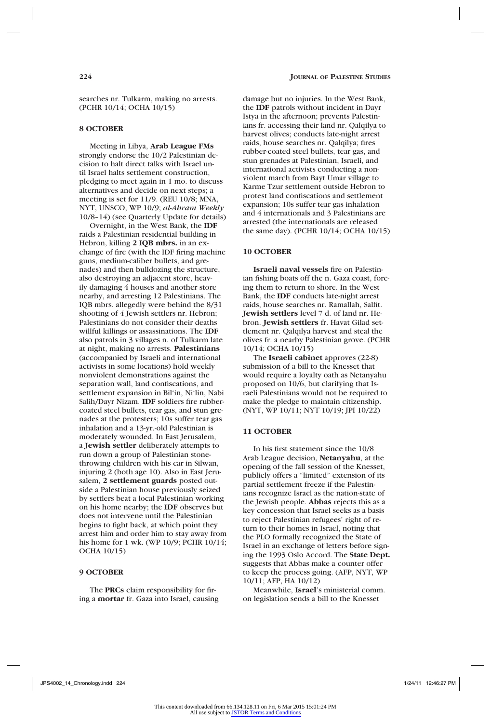searches nr. Tulkarm, making no arrests. (PCHR 10/14; OCHA 10/15)

#### **8 OCTOBER**

Meeting in Libya, **Arab League FMs** strongly endorse the 10/2 Palestinian decision to halt direct talks with Israel until Israel halts settlement construction, pledging to meet again in 1 mo. to discuss alternatives and decide on next steps; a meeting is set for 11/9. (REU 10/8; MNA, NYT, UNSCO, WP 10/9; *al-Ahram Weekly* 10/8–14) (see Quarterly Update for details)

Overnight, in the West Bank, the **IDF**  raids a Palestinian residential building in Hebron, killing **2 IQB mbrs.** in an exchange of fire (with the IDF firing machine guns, medium-caliber bullets, and grenades) and then bulldozing the structure, also destroying an adjacent store, heavily damaging 4 houses and another store nearby, and arresting 12 Palestinians. The IQB mbrs. allegedly were behind the 8/31 shooting of 4 Jewish settlers nr. Hebron; Palestinians do not consider their deaths willful killings or assassinations. The **IDF** also patrols in 3 villages n. of Tulkarm late at night, making no arrests. **Palestinians**  (accompanied by Israeli and international activists in some locations) hold weekly nonviolent demonstrations against the separation wall, land confiscations, and settlement expansion in Bil'in, Ni'lin, Nabi Salih/Dayr Nizam. **IDF** soldiers fire rubbercoated steel bullets, tear gas, and stun grenades at the protesters; 10s suffer tear gas inhalation and a 13-yr.-old Palestinian is moderately wounded. In East Jerusalem, a **Jewish settler** deliberately attempts to run down a group of Palestinian stonethrowing children with his car in Silwan, injuring 2 (both age 10). Also in East Jerusalem, **2 settlement guards** posted outside a Palestinian house previously seized by settlers beat a local Palestinian working on his home nearby; the **IDF** observes but does not intervene until the Palestinian begins to fight back, at which point they arrest him and order him to stay away from his home for 1 wk. (WP 10/9; PCHR 10/14; OCHA 10/15)

# **9 OCTOBER**

The **PRCs** claim responsibility for firing a **mortar** fr. Gaza into Israel, causing damage but no injuries. In the West Bank, the **IDF** patrols without incident in Dayr Istya in the afternoon; prevents Palestinians fr. accessing their land nr. Qalqilya to harvest olives; conducts late-night arrest raids, house searches nr. Qalqilya; fires rubber-coated steel bullets, tear gas, and stun grenades at Palestinian, Israeli, and international activists conducting a nonviolent march from Bayt Umar village to Karme Tzur settlement outside Hebron to protest land confiscations and settlement expansion; 10s suffer tear gas inhalation and 4 internationals and 3 Palestinians are arrested (the internationals are released the same day). (PCHR 10/14; OCHA 10/15)

#### **10 OCTOBER**

**Israeli naval vessels** fire on Palestinian fishing boats off the n. Gaza coast, forcing them to return to shore. In the West Bank, the **IDF** conducts late-night arrest raids, house searches nr. Ramallah, Salfit. **Jewish settlers** level 7 d. of land nr. Hebron. **Jewish settlers** fr. Havat Gilad settlement nr. Qalqilya harvest and steal the olives fr. a nearby Palestinian grove. (PCHR 10/14; OCHA 10/15)

The **Israeli cabinet** approves (22-8) submission of a bill to the Knesset that would require a loyalty oath as Netanyahu proposed on 10/6, but clarifying that Israeli Palestinians would not be required to make the pledge to maintain citizenship. (NYT, WP 10/11; NYT 10/19; JPI 10/22)

### **11 OCTOBER**

In his first statement since the 10/8 Arab League decision, **Netanyahu**, at the opening of the fall session of the Knesset, publicly offers a "limited" extension of its partial settlement freeze if the Palestinians recognize Israel as the nation-state of the Jewish people. **Abbas** rejects this as a key concession that Israel seeks as a basis to reject Palestinian refugees' right of return to their homes in Israel, noting that the PLO formally recognized the State of Israel in an exchange of letters before signing the 1993 Oslo Accord. The **State Dept.**  suggests that Abbas make a counter offer to keep the process going. (AFP, NYT, WP 10/11; AFP, HA 10/12)

Meanwhile, **Israel**'s ministerial comm. on legislation sends a bill to the Knesset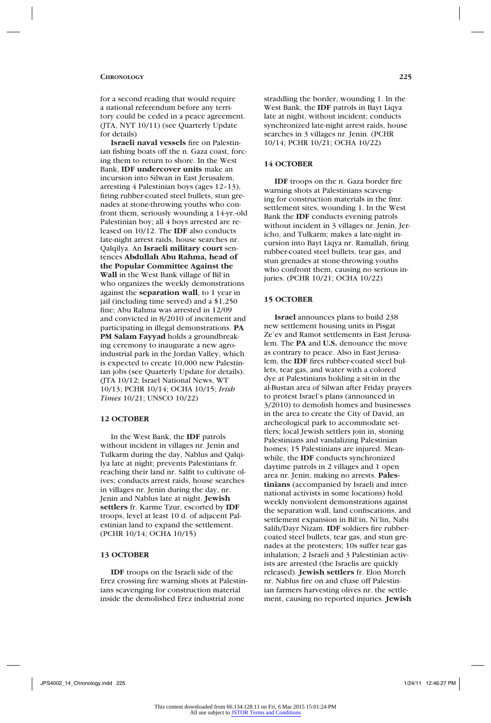for a second reading that would require a national referendum before any territory could be ceded in a peace agreement. (JTA, NYT 10/11) (see Quarterly Update for details)

**Israeli naval vessels** fire on Palestinian fishing boats off the n. Gaza coast, forcing them to return to shore. In the West Bank, **IDF undercover units** make an incursion into Silwan in East Jerusalem, arresting 4 Palestinian boys (ages 12–13), firing rubber-coated steel bullets, stun grenades at stone-throwing youths who confront them, seriously wounding a 14-yr.-old Palestinian boy; all 4 boys arrested are released on 10/12. The **IDF** also conducts late-night arrest raids, house searches nr. Qalqilya. An **Israeli military court** sentences **Abdullah Abu Rahma, head of the Popular Committee Against the Wall** in the West Bank village of Bil'in who organizes the weekly demonstrations against the **separation wall**, to 1 year in jail (including time served) and a \$1,250 fine; Abu Rahma was arrested in 12/09 and convicted in 8/2010 of incitement and participating in illegal demonstrations. **PA PM Salam Fayyad** holds a groundbreaking ceremony to inaugurate a new agroindustrial park in the Jordan Valley, which is expected to create 10,000 new Palestinian jobs (see Quarterly Update for details). (JTA 10/12; Israel National News, WT 10/13; PCHR 10/14; OCHA 10/15; *Irish Times* 10/21; UNSCO 10/22)

#### **12 OCTOBER**

In the West Bank, the **IDF** patrols without incident in villages nr. Jenin and Tulkarm during the day, Nablus and Qalqilya late at night; prevents Palestinians fr. reaching their land nr. Salfit to cultivate olives; conducts arrest raids, house searches in villages nr. Jenin during the day, nr. Jenin and Nablus late at night. **Jewish settlers** fr. Karme Tzur, escorted by **IDF** troops, level at least 10 d. of adjacent Palestinian land to expand the settlement. (PCHR 10/14; OCHA 10/15)

#### **13 OCTOBER**

**IDF** troops on the Israeli side of the Erez crossing fire warning shots at Palestinians scavenging for construction material inside the demolished Erez industrial zone

straddling the border, wounding 1. In the West Bank, the **IDF** patrols in Bayt Liqya late at night, without incident; conducts synchronized late-night arrest raids, house searches in 3 villages nr. Jenin. (PCHR 10/14; PCHR 10/21; OCHA 10/22)

### **14 OCTOBER**

**IDF** troops on the n. Gaza border fire warning shots at Palestinians scavenging for construction materials in the fmr. settlement sites, wounding 1. In the West Bank the **IDF** conducts evening patrols without incident in 3 villages nr. Jenin, Jericho, and Tulkarm; makes a late-night incursion into Bayt Liqya nr. Ramallah, firing rubber-coated steel bullets, tear gas, and stun grenades at stone-throwing youths who confront them, causing no serious injuries. (PCHR 10/21; OCHA 10/22)

#### **15 OCTOBER**

**Israel** announces plans to build 238 new settlement housing units in Pisgat Ze'ev and Ramot settlements in East Jerusalem. The **PA** and **U.S.** denounce the move as contrary to peace. Also in East Jerusalem, the **IDF** fires rubber-coated steel bullets, tear gas, and water with a colored dye at Palestinians holding a sit-in in the al-Bustan area of Silwan after Friday prayers to protest Israel's plans (announced in 3/2010) to demolish homes and businesses in the area to create the City of David, an archeological park to accommodate settlers; local Jewish settlers join in, stoning Palestinians and vandalizing Palestinian homes: 15 Palestinians are injured. Meanwhile, the **IDF** conducts synchronized daytime patrols in 2 villages and 1 open area nr. Jenin, making no arrests. **Palestinians** (accompanied by Israeli and international activists in some locations) hold weekly nonviolent demonstrations against the separation wall, land confiscations, and settlement expansion in Bil'in, Ni'lin, Nabi Salih/Dayr Nizam. **IDF** soldiers fire rubbercoated steel bullets, tear gas, and stun grenades at the protesters; 10s suffer tear gas inhalation; 2 Israeli and 3 Palestinian activists are arrested (the Israelis are quickly released). **Jewish settlers** fr. Elon Moreh nr. Nablus fire on and chase off Palestinian farmers harvesting olives nr. the settlement, causing no reported injuries. **Jewish**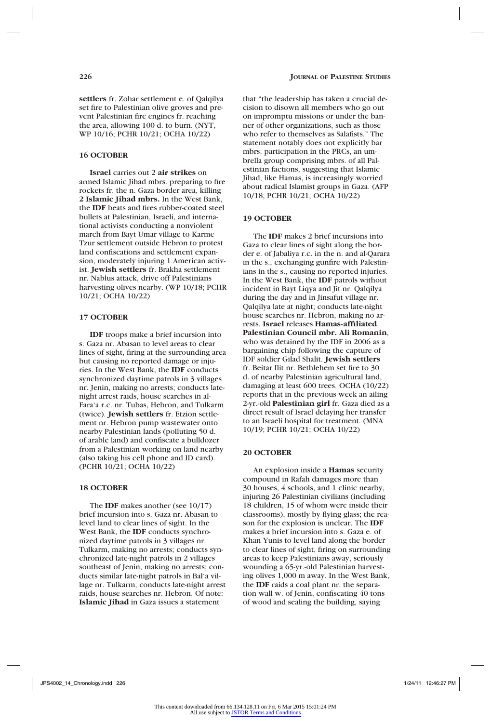**settlers** fr. Zohar settlement e. of Qalqilya set fire to Palestinian olive groves and prevent Palestinian fire engines fr. reaching the area, allowing 100 d. to burn. (NYT, WP 10/16; PCHR 10/21; OCHA 10/22)

# **16 OCTOBER**

**Israel** carries out 2 **air strikes** on armed Islamic Jihad mbrs. preparing to fire rockets fr. the n. Gaza border area, killing **2 Islamic Jihad mbrs.** In the West Bank, the **IDF** beats and fires rubber-coated steel bullets at Palestinian, Israeli, and international activists conducting a nonviolent march from Bayt Umar village to Karme Tzur settlement outside Hebron to protest land confiscations and settlement expansion, moderately injuring 1 American activist. **Jewish settlers** fr. Brakha settlement nr. Nablus attack, drive off Palestinians harvesting olives nearby. (WP 10/18; PCHR 10/21; OCHA 10/22)

### **17 OCTOBER**

**IDF** troops make a brief incursion into s. Gaza nr. Abasan to level areas to clear lines of sight, firing at the surrounding area but causing no reported damage or injuries. In the West Bank, the **IDF** conducts synchronized daytime patrols in 3 villages nr. Jenin, making no arrests; conducts latenight arrest raids, house searches in al-Fara'a r.c. nr. Tubas, Hebron, and Tulkarm (twice). **Jewish settlers** fr. Etzion settlement nr. Hebron pump wastewater onto nearby Palestinian lands (polluting 50 d. of arable land) and confiscate a bulldozer from a Palestinian working on land nearby (also taking his cell phone and ID card). (PCHR 10/21; OCHA 10/22)

#### **18 OCTOBER**

The **IDF** makes another (see 10/17) brief incursion into s. Gaza nr. Abasan to level land to clear lines of sight. In the West Bank, the **IDF** conducts synchronized daytime patrols in 3 villages nr. Tulkarm, making no arrests; conducts synchronized late-night patrols in 2 villages southeast of Jenin, making no arrests; conducts similar late-night patrols in Bal'a village nr. Tulkarm; conducts late-night arrest raids, house searches nr. Hebron. Of note: **Islamic Jihad** in Gaza issues a statement

that "the leadership has taken a crucial decision to disown all members who go out on impromptu missions or under the banner of other organizations, such as those who refer to themselves as Salafists." The statement notably does not explicitly bar mbrs. participation in the PRCs, an umbrella group comprising mbrs. of all Palestinian factions, suggesting that Islamic Jihad, like Hamas, is increasingly worried about radical Islamist groups in Gaza. (AFP 10/18; PCHR 10/21; OCHA 10/22)

#### **19 OCTOBER**

The **IDF** makes 2 brief incursions into Gaza to clear lines of sight along the border e. of Jabaliya r.c. in the n. and al-Qarara in the s., exchanging gunfire with Palestinians in the s., causing no reported injuries. In the West Bank, the **IDF** patrols without incident in Bayt Liqya and Jit nr. Qalqilya during the day and in Jinsafut village nr. Qalqilya late at night; conducts late-night house searches nr. Hebron, making no arrests. **Israel** releases **Hamas-affiliated Palestinian Council mbr. Ali Romanin**, who was detained by the IDF in 2006 as a bargaining chip following the capture of IDF soldier Gilad Shalit. **Jewish settlers**  fr. Beitar Ilit nr. Bethlehem set fire to 30 d. of nearby Palestinian agricultural land, damaging at least 600 trees. OCHA (10/22) reports that in the previous week an ailing 2-yr.-old **Palestinian girl** fr. Gaza died as a direct result of Israel delaying her transfer to an Israeli hospital for treatment. (MNA 10/19; PCHR 10/21; OCHA 10/22)

#### **20 OCTOBER**

An explosion inside a **Hamas** security compound in Rafah damages more than 30 houses, 4 schools, and 1 clinic nearby, injuring 26 Palestinian civilians (including 18 children, 15 of whom were inside their classrooms), mostly by flying glass; the reason for the explosion is unclear. The **IDF**  makes a brief incursion into s. Gaza e. of Khan Yunis to level land along the border to clear lines of sight, firing on surrounding areas to keep Palestinians away, seriously wounding a 65-yr.-old Palestinian harvesting olives 1,000 m away. In the West Bank, the **IDF** raids a coal plant nr. the separation wall w. of Jenin, confiscating 40 tons of wood and sealing the building, saying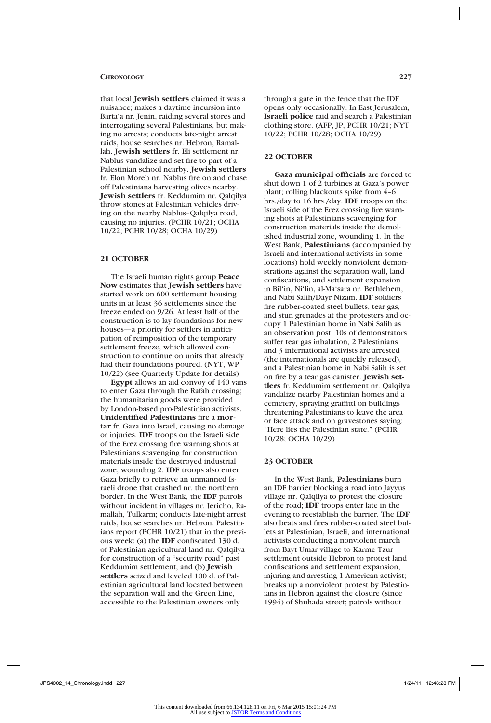that local **Jewish settlers** claimed it was a nuisance; makes a daytime incursion into Barta'a nr. Jenin, raiding several stores and interrogating several Palestinians, but making no arrests; conducts late-night arrest raids, house searches nr. Hebron, Ramallah. **Jewish settlers** fr. Eli settlement nr. Nablus vandalize and set fire to part of a Palestinian school nearby. **Jewish settlers**  fr. Elon Moreh nr. Nablus fire on and chase off Palestinians harvesting olives nearby. **Jewish settlers** fr. Keddumim nr. Qalqilya throw stones at Palestinian vehicles driving on the nearby Nablus–Qalqilya road, causing no injuries. (PCHR 10/21; OCHA 10/22; PCHR 10/28; OCHA 10/29)

### **21 OCTOBER**

The Israeli human rights group **Peace Now** estimates that **Jewish settlers** have started work on 600 settlement housing units in at least 36 settlements since the freeze ended on 9/26. At least half of the construction is to lay foundations for new houses—a priority for settlers in anticipation of reimposition of the temporary settlement freeze, which allowed construction to continue on units that already had their foundations poured. (NYT, WP 10/22) (see Quarterly Update for details)

**Egypt** allows an aid convoy of 140 vans to enter Gaza through the Rafah crossing; the humanitarian goods were provided by London-based pro-Palestinian activists. **Unidentified Palestinians** fire a **mortar** fr. Gaza into Israel, causing no damage or injuries. **IDF** troops on the Israeli side of the Erez crossing fire warning shots at Palestinians scavenging for construction materials inside the destroyed industrial zone, wounding 2. **IDF** troops also enter Gaza briefly to retrieve an unmanned Israeli drone that crashed nr. the northern border. In the West Bank, the **IDF** patrols without incident in villages nr. Jericho, Ramallah, Tulkarm; conducts late-night arrest raids, house searches nr. Hebron. Palestinians report (PCHR 10/21) that in the previous week: (a) the **IDF** confiscated 130 d. of Palestinian agricultural land nr. Qalqilya for construction of a "security road" past Keddumim settlement, and (b) **Jewish settlers** seized and leveled 100 d. of Palestinian agricultural land located between the separation wall and the Green Line, accessible to the Palestinian owners only

through a gate in the fence that the IDF opens only occasionally. In East Jerusalem, **Israeli police** raid and search a Palestinian clothing store. (AFP, JP, PCHR 10/21; NYT 10/22; PCHR 10/28; OCHA 10/29)

### **22 OCTOBER**

**Gaza municipal officials** are forced to shut down 1 of 2 turbines at Gaza's power plant; rolling blackouts spike from 4–6 hrs./day to 16 hrs./day. **IDF** troops on the Israeli side of the Erez crossing fire warning shots at Palestinians scavenging for construction materials inside the demolished industrial zone, wounding 1. In the West Bank, **Palestinians** (accompanied by Israeli and international activists in some locations) hold weekly nonviolent demonstrations against the separation wall, land confiscations, and settlement expansion in Bil'in, Ni'lin, al-Ma'sara nr. Bethlehem, and Nabi Salih/Dayr Nizam. **IDF** soldiers fire rubber-coated steel bullets, tear gas, and stun grenades at the protesters and occupy 1 Palestinian home in Nabi Salih as an observation post; 10s of demonstrators suffer tear gas inhalation, 2 Palestinians and 3 international activists are arrested (the internationals are quickly released), and a Palestinian home in Nabi Salih is set on fire by a tear gas canister. **Jewish settlers** fr. Keddumim settlement nr. Qalqilya vandalize nearby Palestinian homes and a cemetery, spraying graffitti on buildings threatening Palestinians to leave the area or face attack and on gravestones saying: "Here lies the Palestinian state." (PCHR 10/28; OCHA 10/29)

#### **23 OCTOBER**

In the West Bank, **Palestinians** burn an IDF barrier blocking a road into Jayyus village nr. Qalqilya to protest the closure of the road; **IDF** troops enter late in the evening to reestablish the barrier. The **IDF** also beats and fires rubber-coated steel bullets at Palestinian, Israeli, and international activists conducting a nonviolent march from Bayt Umar village to Karme Tzur settlement outside Hebron to protest land confiscations and settlement expansion, injuring and arresting 1 American activist; breaks up a nonviolent protest by Palestinians in Hebron against the closure (since 1994) of Shuhada street; patrols without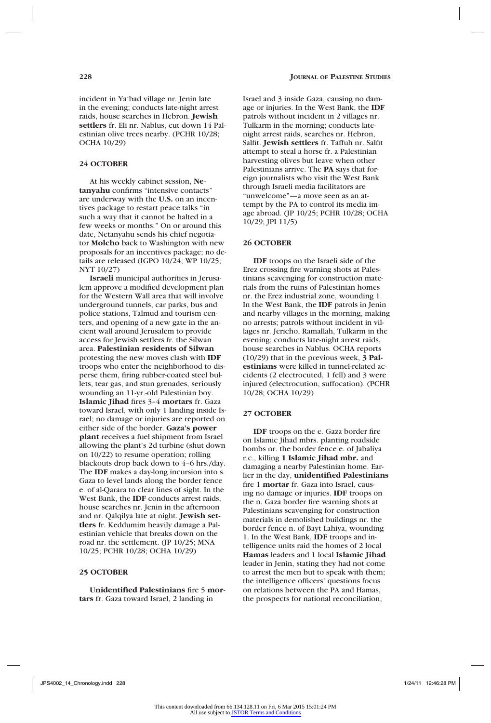incident in Ya'bad village nr. Jenin late in the evening; conducts late-night arrest raids, house searches in Hebron. **Jewish settlers** fr. Eli nr. Nablus, cut down 14 Palestinian olive trees nearby. (PCHR 10/28; OCHA 10/29)

# **24 OCTOBER**

At his weekly cabinet session, **Netanyahu** confirms "intensive contacts" are underway with the **U.S.** on an incentives package to restart peace talks "in such a way that it cannot be halted in a few weeks or months." On or around this date, Netanyahu sends his chief negotiator **Molcho** back to Washington with new proposals for an incentives package; no details are released (IGPO 10/24; WP 10/25; NYT 10/27)

**Israeli** municipal authorities in Jerusalem approve a modified development plan for the Western Wall area that will involve underground tunnels, car parks, bus and police stations, Talmud and tourism centers, and opening of a new gate in the ancient wall around Jerusalem to provide access for Jewish settlers fr. the Silwan area. **Palestinian residents of Silwan**  protesting the new moves clash with **IDF**  troops who enter the neighborhood to disperse them, firing rubber-coated steel bullets, tear gas, and stun grenades, seriously wounding an 11-yr.-old Palestinian boy. **Islamic Jihad** fires 3–4 **mortars** fr. Gaza toward Israel, with only 1 landing inside Israel; no damage or injuries are reported on either side of the border. **Gaza's power plant** receives a fuel shipment from Israel allowing the plant's 2d turbine (shut down on 10/22) to resume operation; rolling blackouts drop back down to 4–6 hrs./day. The **IDF** makes a day-long incursion into s. Gaza to level lands along the border fence e. of al-Qarara to clear lines of sight. In the West Bank, the **IDF** conducts arrest raids, house searches nr. Jenin in the afternoon and nr. Qalqilya late at night. **Jewish settlers** fr. Keddumim heavily damage a Palestinian vehicle that breaks down on the road nr. the settlement. (JP 10/25; MNA 10/25; PCHR 10/28; OCHA 10/29)

### **25 OCTOBER**

**Unidentified Palestinians** fire 5 **mortars** fr. Gaza toward Israel, 2 landing in

Israel and 3 inside Gaza, causing no damage or injuries. In the West Bank, the **IDF**  patrols without incident in 2 villages nr. Tulkarm in the morning; conducts latenight arrest raids, searches nr. Hebron, Salfit. **Jewish settlers** fr. Taffuh nr. Salfit attempt to steal a horse fr. a Palestinian harvesting olives but leave when other Palestinians arrive. The **PA** says that foreign journalists who visit the West Bank through Israeli media facilitators are "unwelcome"—a move seen as an attempt by the PA to control its media image abroad. (JP 10/25; PCHR 10/28; OCHA 10/29; JPI 11/5)

# **26 OCTOBER**

**IDF** troops on the Israeli side of the Erez crossing fire warning shots at Palestinians scavenging for construction materials from the ruins of Palestinian homes nr. the Erez industrial zone, wounding 1. In the West Bank, the **IDF** patrols in Jenin and nearby villages in the morning, making no arrests; patrols without incident in villages nr. Jericho, Ramallah, Tulkarm in the evening; conducts late-night arrest raids, house searches in Nablus. OCHA reports (10/29) that in the previous week, **3 Palestinians** were killed in tunnel-related accidents (2 electrocuted, 1 fell) and 3 were injured (electrocution, suffocation). (PCHR 10/28; OCHA 10/29)

#### **27 OCTOBER**

**IDF** troops on the e. Gaza border fire on Islamic Jihad mbrs. planting roadside bombs nr. the border fence e. of Jabaliya r.c., killing **1 Islamic Jihad mbr.** and damaging a nearby Palestinian home. Earlier in the day, **unidentified Palestinians**  fire 1 **mortar** fr. Gaza into Israel, causing no damage or injuries. **IDF** troops on the n. Gaza border fire warning shots at Palestinians scavenging for construction materials in demolished buildings nr. the border fence n. of Bayt Lahiya, wounding 1. In the West Bank, **IDF** troops and intelligence units raid the homes of 2 local **Hamas** leaders and 1 local **Islamic Jihad** leader in Jenin, stating they had not come to arrest the men but to speak with them; the intelligence officers' questions focus on relations between the PA and Hamas, the prospects for national reconciliation,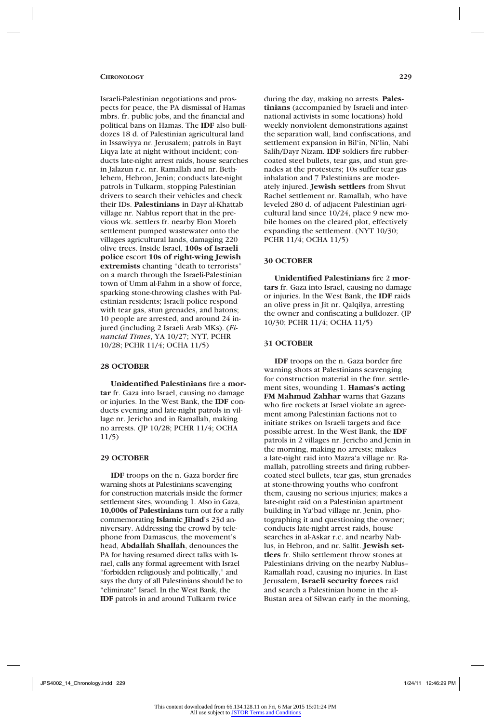Israeli-Palestinian negotiations and prospects for peace, the PA dismissal of Hamas mbrs. fr. public jobs, and the financial and political bans on Hamas. The **IDF** also bulldozes 18 d. of Palestinian agricultural land in Issawiyya nr. Jerusalem; patrols in Bayt Liqya late at night without incident; conducts late-night arrest raids, house searches in Jalazun r.c. nr. Ramallah and nr. Bethlehem, Hebron, Jenin; conducts late-night patrols in Tulkarm, stopping Palestinian drivers to search their vehicles and check their IDs. **Palestinians** in Dayr al-Khattab village nr. Nablus report that in the previous wk. settlers fr. nearby Elon Moreh settlement pumped wastewater onto the villages agricultural lands, damaging 220 olive trees. Inside Israel, **100s of Israeli police** escort **10s of right-wing Jewish extremists** chanting "death to terrorists" on a march through the Israeli-Palestinian town of Umm al-Fahm in a show of force, sparking stone-throwing clashes with Palestinian residents; Israeli police respond with tear gas, stun grenades, and batons; 10 people are arrested, and around 24 injured (including 2 Israeli Arab MKs). (*Financial Times*, YA 10/27; NYT, PCHR 10/28; PCHR 11/4; OCHA 11/5)

#### **28 OCTOBER**

**Unidentified Palestinians** fire a **mortar** fr. Gaza into Israel, causing no damage or injuries. In the West Bank, the **IDF** conducts evening and late-night patrols in village nr. Jericho and in Ramallah, making no arrests. (JP 10/28; PCHR 11/4; OCHA 11/5)

#### **29 OCTOBER**

**IDF** troops on the n. Gaza border fire warning shots at Palestinians scavenging for construction materials inside the former settlement sites, wounding 1. Also in Gaza, **10,000s of Palestinians** turn out for a rally commemorating **Islamic Jihad**'s 23d anniversary. Addressing the crowd by telephone from Damascus, the movement's head, **Abdallah Shallah**, denounces the PA for having resumed direct talks with Israel, calls any formal agreement with Israel "forbidden religiously and politically," and says the duty of all Palestinians should be to "eliminate" Israel. In the West Bank, the **IDF** patrols in and around Tulkarm twice

during the day, making no arrests. **Palestinians** (accompanied by Israeli and international activists in some locations) hold weekly nonviolent demonstrations against the separation wall, land confiscations, and settlement expansion in Bil'in, Ni'lin, Nabi Salih/Dayr Nizam. **IDF** soldiers fire rubbercoated steel bullets, tear gas, and stun grenades at the protesters; 10s suffer tear gas inhalation and 7 Palestinians are moderately injured. **Jewish settlers** from Shvut Rachel settlement nr. Ramallah, who have leveled 280 d. of adjacent Palestinian agricultural land since 10/24, place 9 new mobile homes on the cleared plot, effectively expanding the settlement. (NYT 10/30; PCHR 11/4; OCHA 11/5)

#### **30 OCTOBER**

**Unidentified Palestinians** fire 2 **mortars** fr. Gaza into Israel, causing no damage or injuries. In the West Bank, the **IDF** raids an olive press in Jit nr. Qalqilya, arresting the owner and confiscating a bulldozer. (JP 10/30; PCHR 11/4; OCHA 11/5)

#### **31 OCTOBER**

**IDF** troops on the n. Gaza border fire warning shots at Palestinians scavenging for construction material in the fmr. settlement sites, wounding 1. **Hamas's acting FM Mahmud Zahhar** warns that Gazans who fire rockets at Israel violate an agreement among Palestinian factions not to initiate strikes on Israeli targets and face possible arrest. In the West Bank, the **IDF** patrols in 2 villages nr. Jericho and Jenin in the morning, making no arrests; makes a late-night raid into Mazra'a village nr. Ramallah, patrolling streets and firing rubbercoated steel bullets, tear gas, stun grenades at stone-throwing youths who confront them, causing no serious injuries; makes a late-night raid on a Palestinian apartment building in Ya'bad village nr. Jenin, photographing it and questioning the owner; conducts late-night arrest raids, house searches in al-Askar r.c. and nearby Nablus, in Hebron, and nr. Salfit. **Jewish settlers** fr. Shilo settlement throw stones at Palestinians driving on the nearby Nablus– Ramallah road, causing no injuries. In East Jerusalem, **Israeli security forces** raid and search a Palestinian home in the al-Bustan area of Silwan early in the morning,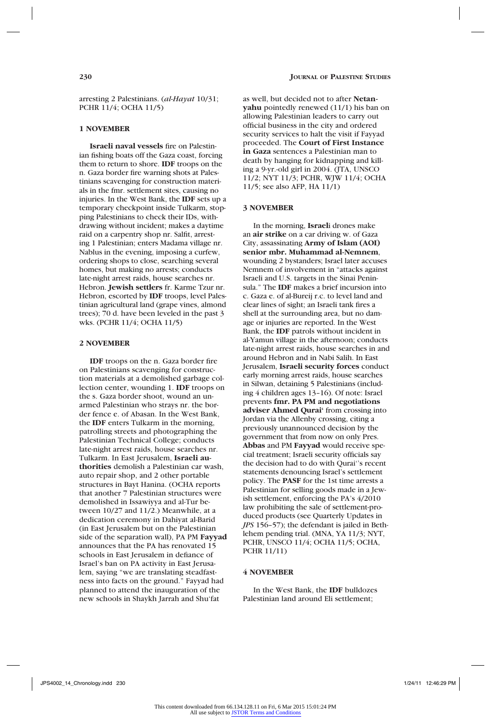arresting 2 Palestinians. (*al-Hayat* 10/31; PCHR 11/4; OCHA 11/5)

### **1 NOVEMBER**

**Israeli naval vessels** fire on Palestinian fishing boats off the Gaza coast, forcing them to return to shore. **IDF** troops on the n. Gaza border fire warning shots at Palestinians scavenging for construction materials in the fmr. settlement sites, causing no injuries. In the West Bank, the **IDF** sets up a temporary checkpoint inside Tulkarm, stopping Palestinians to check their IDs, withdrawing without incident; makes a daytime raid on a carpentry shop nr. Salfit, arresting 1 Palestinian; enters Madama village nr. Nablus in the evening, imposing a curfew, ordering shops to close, searching several homes, but making no arrests; conducts late-night arrest raids, house searches nr. Hebron. **Jewish settlers** fr. Karme Tzur nr. Hebron, escorted by **IDF** troops, level Palestinian agricultural land (grape vines, almond trees); 70 d. have been leveled in the past 3 wks. (PCHR 11/4; OCHA 11/5)

# **2 NOVEMBER**

**IDF** troops on the n. Gaza border fire on Palestinians scavenging for construction materials at a demolished garbage collection center, wounding 1. **IDF** troops on the s. Gaza border shoot, wound an unarmed Palestinian who strays nr. the border fence e. of Abasan. In the West Bank, the **IDF** enters Tulkarm in the morning, patrolling streets and photographing the Palestinian Technical College; conducts late-night arrest raids, house searches nr. Tulkarm. In East Jerusalem, **Israeli authorities** demolish a Palestinian car wash, auto repair shop, and 2 other portable structures in Bayt Hanina. (OCHA reports that another 7 Palestinian structures were demolished in Issawiyya and al-Tur between 10/27 and 11/2.) Meanwhile, at a dedication ceremony in Dahiyat al-Barid (in East Jerusalem but on the Palestinian side of the separation wall), PA PM **Fayyad** announces that the PA has renovated 15 schools in East Jerusalem in defiance of Israel's ban on PA activity in East Jerusalem, saying "we are translating steadfastness into facts on the ground." Fayyad had planned to attend the inauguration of the new schools in Shaykh Jarrah and Shu'fat

as well, but decided not to after **Netanyahu** pointedly renewed (11/1) his ban on allowing Palestinian leaders to carry out official business in the city and ordered security services to halt the visit if Fayyad proceeded. The **Court of First Instance in Gaza** sentences a Palestinian man to death by hanging for kidnapping and killing a 9-yr.-old girl in 2004. (JTA, UNSCO 11/2; NYT 11/3; PCHR, WJW 11/4; OCHA 11/5; see also AFP, HA 11/1)

#### **3 NOVEMBER**

In the morning, **Israel**i drones make an **air strike** on a car driving w. of Gaza City, assassinating **Army of Islam (AOI) senior mbr. Muhammad al-Nemnem**, wounding 2 bystanders; Israel later accuses Nemnem of involvement in "attacks against Israeli and U.S. targets in the Sinai Peninsula." The **IDF** makes a brief incursion into c. Gaza e. of al-Bureij r.c. to level land and clear lines of sight; an Israeli tank fires a shell at the surrounding area, but no damage or injuries are reported. In the West Bank, the **IDF** patrols without incident in al-Yamun village in the afternoon; conducts late-night arrest raids, house searches in and around Hebron and in Nabi Salih. In East Jerusalem, **Israeli security forces** conduct early morning arrest raids, house searches in Silwan, detaining 5 Palestinians (including 4 children ages 13–16). Of note: Israel prevents **fmr. PA PM and negotiations adviser Ahmed Qurai'** from crossing into Jordan via the Allenby crossing, citing a previously unannounced decision by the government that from now on only Pres. **Abbas** and PM **Fayyad** would receive special treatment; Israeli security officials say the decision had to do with Qurai''s recent statements denouncing Israel's settlement policy. The **PASF** for the 1st time arrests a Palestinian for selling goods made in a Jewish settlement, enforcing the PA's 4/2010 law prohibiting the sale of settlement-produced products (see Quarterly Updates in *JPS* 156–57); the defendant is jailed in Bethlehem pending trial. (MNA, YA 11/3; NYT, PCHR, UNSCO 11/4; OCHA 11/5; OCHA, PCHR 11/11)

### **4 NOVEMBER**

In the West Bank, the **IDF** bulldozes Palestinian land around Eli settlement;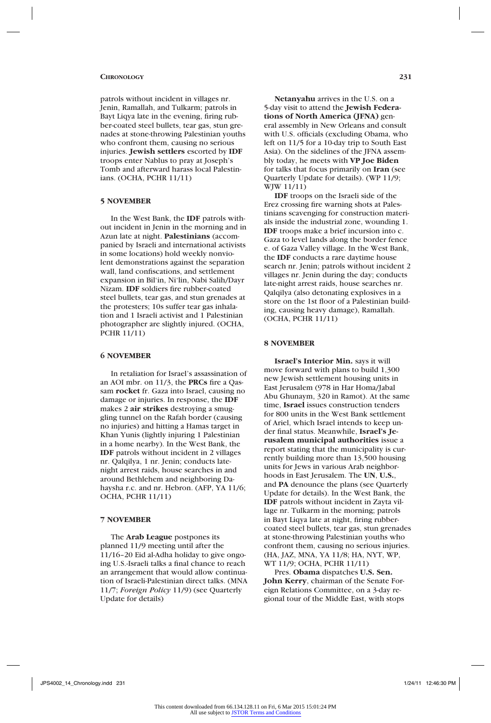patrols without incident in villages nr. Jenin, Ramallah, and Tulkarm; patrols in Bayt Liqya late in the evening, firing rubber-coated steel bullets, tear gas, stun grenades at stone-throwing Palestinian youths who confront them, causing no serious injuries. **Jewish settlers** escorted by **IDF**  troops enter Nablus to pray at Joseph's Tomb and afterward harass local Palestinians. (OCHA, PCHR 11/11)

#### **5 NOVEMBER**

In the West Bank, the **IDF** patrols without incident in Jenin in the morning and in Azun late at night. **Palestinians** (accompanied by Israeli and international activists in some locations) hold weekly nonviolent demonstrations against the separation wall, land confiscations, and settlement expansion in Bil'in, Ni'lin, Nabi Salih/Dayr Nizam. **IDF** soldiers fire rubber-coated steel bullets, tear gas, and stun grenades at the protesters; 10s suffer tear gas inhalation and 1 Israeli activist and 1 Palestinian photographer are slightly injured. (OCHA, PCHR 11/11)

# **6 NOVEMBER**

In retaliation for Israel's assassination of an AOI mbr. on 11/3, the **PRCs** fire a Qassam **rocket** fr. Gaza into Israel, causing no damage or injuries. In response, the **IDF**  makes 2 **air strikes** destroying a smuggling tunnel on the Rafah border (causing no injuries) and hitting a Hamas target in Khan Yunis (lightly injuring 1 Palestinian in a home nearby). In the West Bank, the **IDF** patrols without incident in 2 villages nr. Qalqilya, 1 nr. Jenin; conducts latenight arrest raids, house searches in and around Bethlehem and neighboring Dahaysha r.c. and nr. Hebron. (AFP, YA 11/6; OCHA, PCHR 11/11)

# **7 NOVEMBER**

The **Arab League** postpones its planned 11/9 meeting until after the 11/16–20 Eid al-Adha holiday to give ongoing U.S.-Israeli talks a final chance to reach an arrangement that would allow continuation of Israeli-Palestinian direct talks. (MNA 11/7; *Foreign Policy* 11/9) (see Quarterly Update for details)

**Netanyahu** arrives in the U.S. on a 5-day visit to attend the **Jewish Federations of North America (JFNA)** general assembly in New Orleans and consult with U.S. officials (excluding Obama, who left on 11/5 for a 10-day trip to South East Asia). On the sidelines of the JFNA assembly today, he meets with **VP Joe Biden** for talks that focus primarily on **Iran** (see Quarterly Update for details). (WP 11/9; WJW 11/11)

**IDF** troops on the Israeli side of the Erez crossing fire warning shots at Palestinians scavenging for construction materials inside the industrial zone, wounding 1. **IDF** troops make a brief incursion into c. Gaza to level lands along the border fence e. of Gaza Valley village. In the West Bank, the **IDF** conducts a rare daytime house search nr. Jenin; patrols without incident 2 villages nr. Jenin during the day; conducts late-night arrest raids, house searches nr. Qalqilya (also detonating explosives in a store on the 1st floor of a Palestinian building, causing heavy damage), Ramallah. (OCHA, PCHR 11/11)

#### **8 NOVEMBER**

**Israel's Interior Min.** says it will move forward with plans to build 1,300 new Jewish settlement housing units in East Jerusalem (978 in Har Homa/Jabal Abu Ghunaym, 320 in Ramot). At the same time, **Israel** issues construction tenders for 800 units in the West Bank settlement of Ariel, which Israel intends to keep under final status. Meanwhile, **Israel's Jerusalem municipal authorities** issue a report stating that the municipality is currently building more than 13,500 housing units for Jews in various Arab neighborhoods in East Jerusalem. The **UN**, **U.S.**, and **PA** denounce the plans (see Quarterly Update for details). In the West Bank, the **IDF** patrols without incident in Zayta village nr. Tulkarm in the morning; patrols in Bayt Liqya late at night, firing rubbercoated steel bullets, tear gas, stun grenades at stone-throwing Palestinian youths who confront them, causing no serious injuries. (HA, JAZ, MNA, YA 11/8; HA, NYT, WP, WT 11/9; OCHA, PCHR 11/11)

Pres. **Obama** dispatches **U.S. Sen. John Kerry**, chairman of the Senate Foreign Relations Committee, on a 3-day regional tour of the Middle East, with stops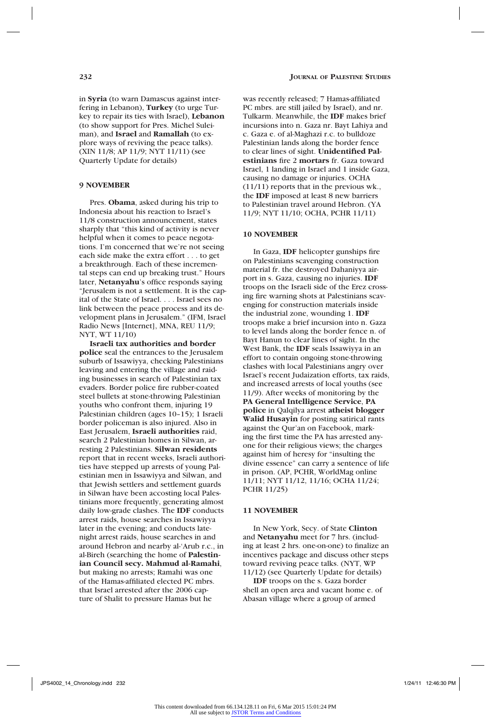in **Syria** (to warn Damascus against interfering in Lebanon), **Turkey** (to urge Turkey to repair its ties with Israel), **Lebanon**  (to show support for Pres. Michel Suleiman), and **Israel** and **Ramallah** (to explore ways of reviving the peace talks). (XIN 11/8; AP 11/9; NYT 11/11) (see Quarterly Update for details)

### **9 NOVEMBER**

Pres. **Obama**, asked during his trip to Indonesia about his reaction to Israel's 11/8 construction announcement, states sharply that "this kind of activity is never helpful when it comes to peace negotations. I'm concerned that we're not seeing each side make the extra effort . . . to get a breakthrough. Each of these incremental steps can end up breaking trust." Hours later, **Netanyahu**'s office responds saying "Jerusalem is not a settlement. It is the capital of the State of Israel. . . . Israel sees no link between the peace process and its development plans in Jerusalem." (IFM, Israel Radio News [Internet], MNA, REU 11/9; NYT, WT 11/10)

**Israeli tax authorities and border police** seal the entrances to the Jerusalem suburb of Issawiyya, checking Palestinians leaving and entering the village and raiding businesses in search of Palestinian tax evaders. Border police fire rubber-coated steel bullets at stone-throwing Palestinian youths who confront them, injuring 19 Palestinian children (ages 10–15); 1 Israeli border policeman is also injured. Also in East Jerusalem, **Israeli authorities** raid, search 2 Palestinian homes in Silwan, arresting 2 Palestinians. **Silwan residents** report that in recent weeks, Israeli authorities have stepped up arrests of young Palestinian men in Issawiyya and Silwan, and that Jewish settlers and settlement guards in Silwan have been accosting local Palestinians more frequently, generating almost daily low-grade clashes. The **IDF** conducts arrest raids, house searches in Issawiyya later in the evening; and conducts latenight arrest raids, house searches in and around Hebron and nearby al-'Arub r.c., in al-Bireh (searching the home of **Palestinian Council secy. Mahmud al-Ramahi**, but making no arrests; Ramahi was one of the Hamas-affiliated elected PC mbrs. that Israel arrested after the 2006 capture of Shalit to pressure Hamas but he

was recently released; 7 Hamas-affiliated PC mbrs. are still jailed by Israel), and nr. Tulkarm. Meanwhile, the **IDF** makes brief incursions into n. Gaza nr. Bayt Lahiya and c. Gaza e. of al-Maghazi r.c. to bulldoze Palestinian lands along the border fence to clear lines of sight. **Unidentified Palestinians** fire 2 **mortars** fr. Gaza toward Israel, 1 landing in Israel and 1 inside Gaza, causing no damage or injuries. OCHA (11/11) reports that in the previous wk., the **IDF** imposed at least 8 new barriers to Palestinian travel around Hebron. (YA 11/9; NYT 11/10; OCHA, PCHR 11/11)

#### **10 NOVEMBER**

In Gaza, **IDF** helicopter gunships fire on Palestinians scavenging construction material fr. the destroyed Dahaniyya airport in s. Gaza, causing no injuries. **IDF**  troops on the Israeli side of the Erez crossing fire warning shots at Palestinians scavenging for construction materials inside the industrial zone, wounding 1. **IDF**  troops make a brief incursion into n. Gaza to level lands along the border fence n. of Bayt Hanun to clear lines of sight. In the West Bank, the **IDF** seals Issawiyya in an effort to contain ongoing stone-throwing clashes with local Palestinians angry over Israel's recent Judaization efforts, tax raids, and increased arrests of local youths (see 11/9). After weeks of monitoring by the **PA General Intelligence Service**, **PA police** in Qalqilya arrest **atheist blogger Walid Husayin** for posting satirical rants against the Qur'an on Facebook, marking the first time the PA has arrested anyone for their religious views; the charges against him of heresy for "insulting the divine essence" can carry a sentence of life in prison. (AP, PCHR, WorldMag online 11/11; NYT 11/12, 11/16; OCHA 11/24; PCHR 11/25)

#### **11 NOVEMBER**

In New York, Secy. of State **Clinton**  and **Netanyahu** meet for 7 hrs. (including at least 2 hrs. one-on-one) to finalize an incentives package and discuss other steps toward reviving peace talks. (NYT, WP 11/12) (see Quarterly Update for details)

**IDF** troops on the s. Gaza border shell an open area and vacant home e. of Abasan village where a group of armed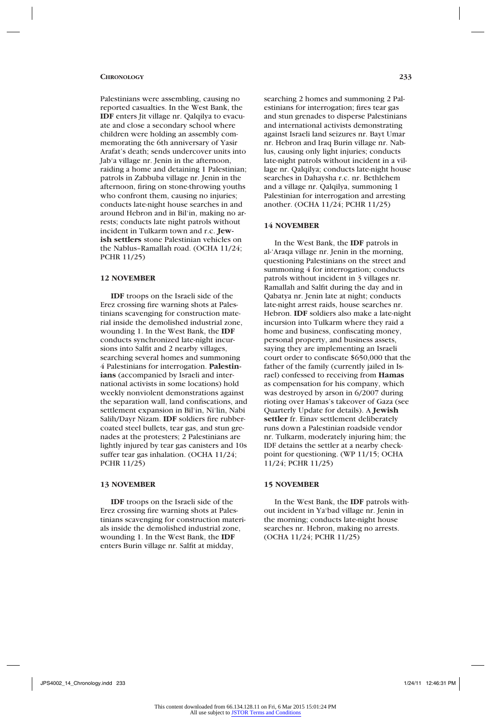Palestinians were assembling, causing no reported casualties. In the West Bank, the **IDF** enters Jit village nr. Qalqilya to evacuate and close a secondary school where children were holding an assembly commemorating the 6th anniversary of Yasir Arafat's death; sends undercover units into Jab'a village nr. Jenin in the afternoon, raiding a home and detaining 1 Palestinian; patrols in Zabbuba village nr. Jenin in the afternoon, firing on stone-throwing youths who confront them, causing no injuries: conducts late-night house searches in and around Hebron and in Bil'in, making no arrests; conducts late night patrols without incident in Tulkarm town and r.c. **Jewish settlers** stone Palestinian vehicles on the Nablus–Ramallah road. (OCHA 11/24; PCHR 11/25)

### **12 NOVEMBER**

**IDF** troops on the Israeli side of the Erez crossing fire warning shots at Palestinians scavenging for construction material inside the demolished industrial zone, wounding 1. In the West Bank, the **IDF** conducts synchronized late-night incursions into Salfit and 2 nearby villages, searching several homes and summoning 4 Palestinians for interrogation. **Palestinians** (accompanied by Israeli and international activists in some locations) hold weekly nonviolent demonstrations against the separation wall, land confiscations, and settlement expansion in Bil'in, Ni'lin, Nabi Salih/Dayr Nizam. **IDF** soldiers fire rubbercoated steel bullets, tear gas, and stun grenades at the protesters; 2 Palestinians are lightly injured by tear gas canisters and 10s suffer tear gas inhalation. (OCHA 11/24; PCHR 11/25)

# **13 NOVEMBER**

**IDF** troops on the Israeli side of the Erez crossing fire warning shots at Palestinians scavenging for construction materials inside the demolished industrial zone, wounding 1. In the West Bank, the **IDF** enters Burin village nr. Salfit at midday,

searching 2 homes and summoning 2 Palestinians for interrogation; fires tear gas and stun grenades to disperse Palestinians and international activists demonstrating against Israeli land seizures nr. Bayt Umar nr. Hebron and Iraq Burin village nr. Nablus, causing only light injuries; conducts late-night patrols without incident in a village nr. Qalqilya; conducts late-night house searches in Dahaysha r.c. nr. Bethlehem and a village nr. Qalqilya, summoning 1 Palestinian for interrogation and arresting another. (OCHA 11/24; PCHR 11/25)

#### **14 NOVEMBER**

In the West Bank, the **IDF** patrols in al-'Araqa village nr. Jenin in the morning, questioning Palestinians on the street and summoning 4 for interrogation; conducts patrols without incident in 3 villages nr. Ramallah and Salfit during the day and in Qabatya nr. Jenin late at night; conducts late-night arrest raids, house searches nr. Hebron. **IDF** soldiers also make a late-night incursion into Tulkarm where they raid a home and business, confiscating money, personal property, and business assets, saying they are implementing an Israeli court order to confiscate \$650,000 that the father of the family (currently jailed in Israel) confessed to receiving from **Hamas** as compensation for his company, which was destroyed by arson in 6/2007 during rioting over Hamas's takeover of Gaza (see Quarterly Update for details). A **Jewish settler** fr. Einav settlement deliberately runs down a Palestinian roadside vendor nr. Tulkarm, moderately injuring him; the IDF detains the settler at a nearby checkpoint for questioning. (WP 11/15; OCHA 11/24; PCHR 11/25)

# **15 NOVEMBER**

In the West Bank, the **IDF** patrols without incident in Ya'bad village nr. Jenin in the morning; conducts late-night house searches nr. Hebron, making no arrests. (OCHA 11/24; PCHR 11/25)